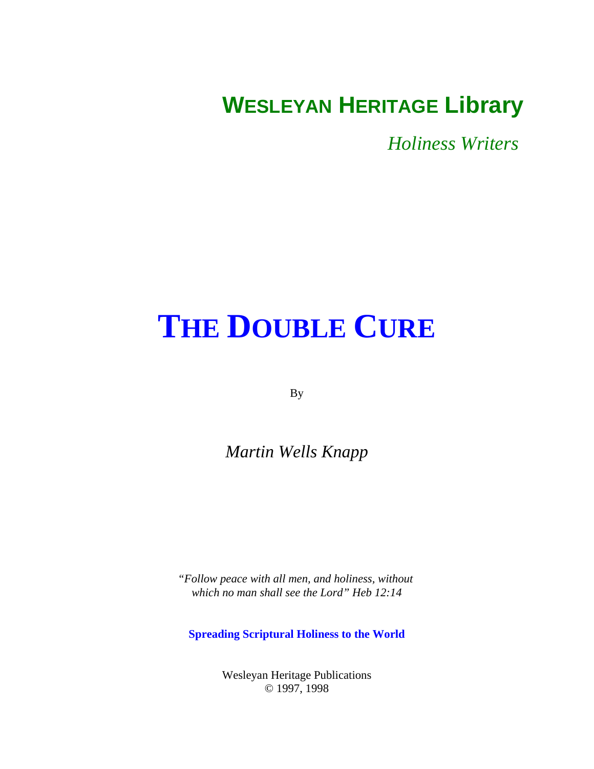# <span id="page-0-0"></span>**WESLEYAN HERITAGE Library**

*Holiness Writers* 

# **[THE DOUBLE CURE](#page-1-0)**

By

*Martin Wells Knapp*

*"Follow peace with all men, and holiness, without which no man shall see the Lord" Heb 12:14*

**Spreading Scriptural Holiness to the World**

Wesleyan Heritage Publications © 1997, 1998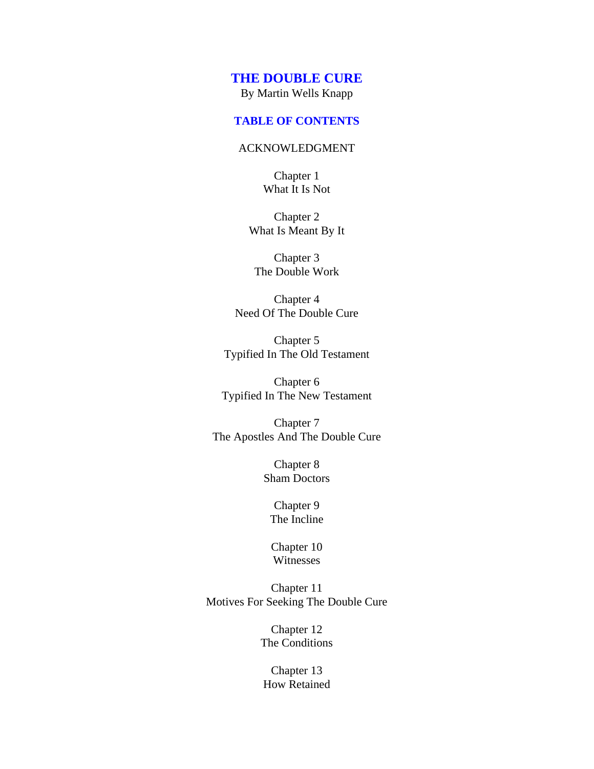#### <span id="page-1-0"></span>**TABLE OF CONTENTS**

#### [ACKNOWLEDGMENT](#page-2-0)

Chapter 1 [What It Is Not](#page-3-0)

Chapter 2 [What Is Meant By It](#page-6-0)

Chapter 3 [The Double Work](#page-10-0)

Chapter 4 [Need Of The Double Cure](#page-12-0)

Chapter 5 [Typified In The Old Testament](#page-15-0)

Chapter 6 [Typified In The New Testament](#page-19-0)

Chapter 7 [The Apostles And The Double Cure](#page-23-0)

> Chapter 8 [Sham Doctors](#page-27-0)

# Chapter 9 [The Incline](#page-33-0)

[Chapter 10](#page-37-0) Witnesses

Chapter 11 [Motives For Seeking The Double Cure](#page-42-0)

> Chapter 12 [The Conditions](#page-44-0)

Chapter 13 [How Retained](#page-49-0)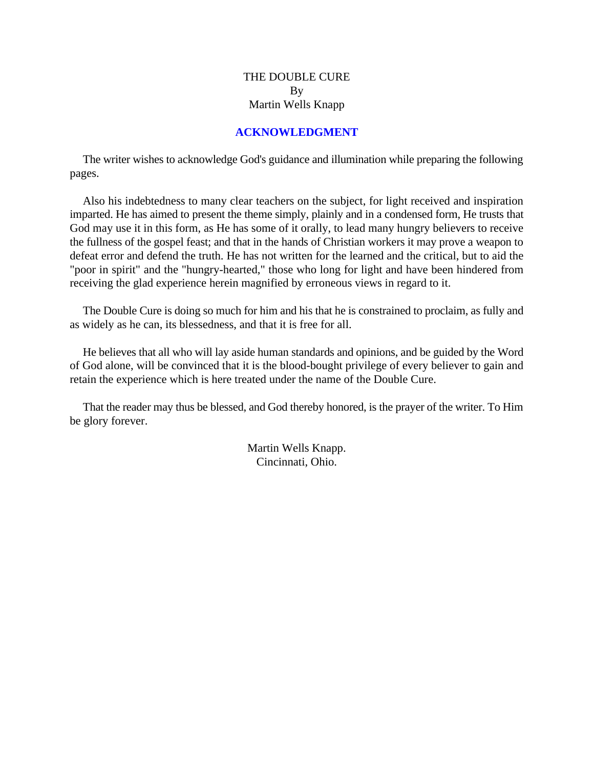# **ACKNOWLEDGMENT**

<span id="page-2-0"></span>The writer wishes to acknowledge God's guidance and illumination while preparing the following pages.

Also his indebtedness to many clear teachers on the subject, for light received and inspiration imparted. He has aimed to present the theme simply, plainly and in a condensed form, He trusts that God may use it in this form, as He has some of it orally, to lead many hungry believers to receive the fullness of the gospel feast; and that in the hands of Christian workers it may prove a weapon to defeat error and defend the truth. He has not written for the learned and the critical, but to aid the "poor in spirit" and the "hungry-hearted," those who long for light and have been hindered from receiving the glad experience herein magnified by erroneous views in regard to it.

The Double Cure is doing so much for him and his that he is constrained to proclaim, as fully and as widely as he can, its blessedness, and that it is free for all.

He believes that all who will lay aside human standards and opinions, and be guided by the Word of God alone, will be convinced that it is the blood-bought privilege of every believer to gain and retain the experience which is here treated under the name of the Double Cure.

That the reader may thus be blessed, and God thereby honored, is the prayer of the writer. To Him be glory forever.

> Martin Wells Knapp. Cincinnati, Ohio.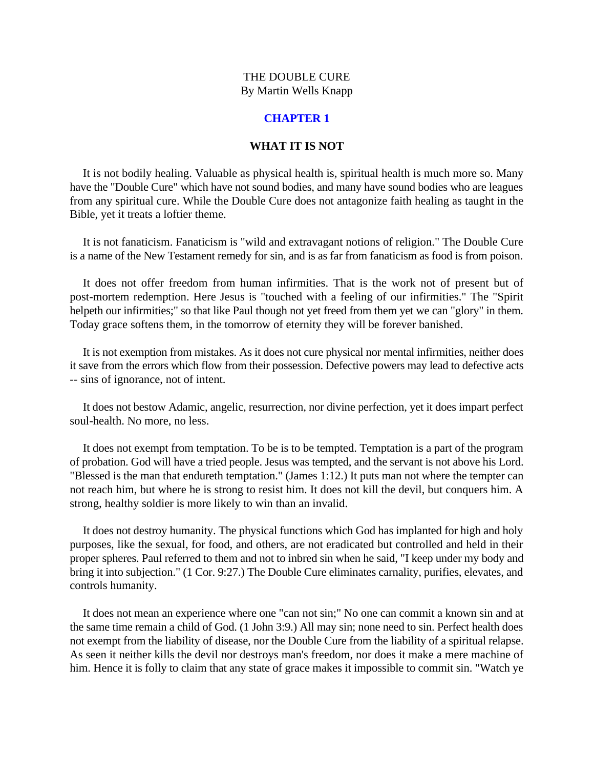#### **CHAPTER 1**

#### **WHAT IT IS NOT**

<span id="page-3-0"></span>It is not bodily healing. Valuable as physical health is, spiritual health is much more so. Many have the "Double Cure" which have not sound bodies, and many have sound bodies who are leagues from any spiritual cure. While the Double Cure does not antagonize faith healing as taught in the Bible, yet it treats a loftier theme.

It is not fanaticism. Fanaticism is "wild and extravagant notions of religion." The Double Cure is a name of the New Testament remedy for sin, and is as far from fanaticism as food is from poison.

It does not offer freedom from human infirmities. That is the work not of present but of post-mortem redemption. Here Jesus is "touched with a feeling of our infirmities." The "Spirit helpeth our infirmities;" so that like Paul though not yet freed from them yet we can "glory" in them. Today grace softens them, in the tomorrow of eternity they will be forever banished.

It is not exemption from mistakes. As it does not cure physical nor mental infirmities, neither does it save from the errors which flow from their possession. Defective powers may lead to defective acts -- sins of ignorance, not of intent.

It does not bestow Adamic, angelic, resurrection, nor divine perfection, yet it does impart perfect soul-health. No more, no less.

It does not exempt from temptation. To be is to be tempted. Temptation is a part of the program of probation. God will have a tried people. Jesus was tempted, and the servant is not above his Lord. "Blessed is the man that endureth temptation." (James 1:12.) It puts man not where the tempter can not reach him, but where he is strong to resist him. It does not kill the devil, but conquers him. A strong, healthy soldier is more likely to win than an invalid.

It does not destroy humanity. The physical functions which God has implanted for high and holy purposes, like the sexual, for food, and others, are not eradicated but controlled and held in their proper spheres. Paul referred to them and not to inbred sin when he said, "I keep under my body and bring it into subjection." (1 Cor. 9:27.) The Double Cure eliminates carnality, purifies, elevates, and controls humanity.

It does not mean an experience where one "can not sin;" No one can commit a known sin and at the same time remain a child of God. (1 John 3:9.) All may sin; none need to sin. Perfect health does not exempt from the liability of disease, nor the Double Cure from the liability of a spiritual relapse. As seen it neither kills the devil nor destroys man's freedom, nor does it make a mere machine of him. Hence it is folly to claim that any state of grace makes it impossible to commit sin. "Watch ye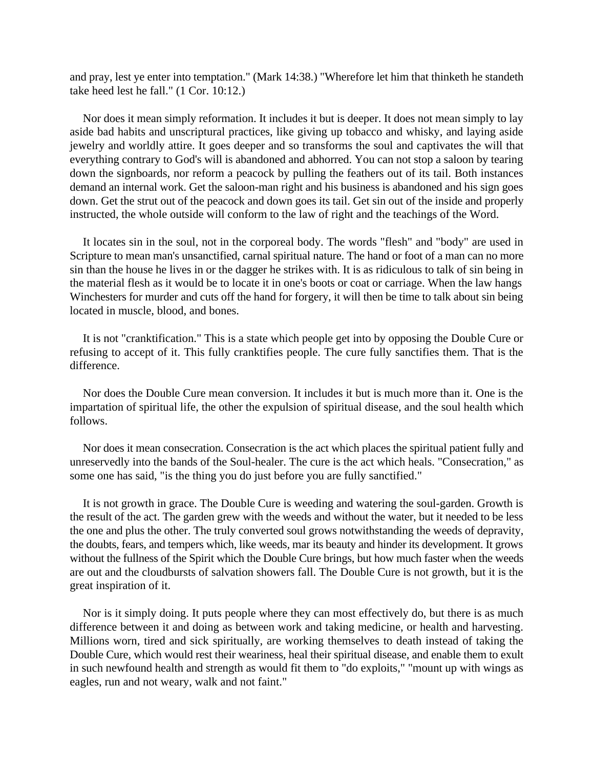and pray, lest ye enter into temptation." (Mark 14:38.) "Wherefore let him that thinketh he standeth take heed lest he fall." (1 Cor. 10:12.)

Nor does it mean simply reformation. It includes it but is deeper. It does not mean simply to lay aside bad habits and unscriptural practices, like giving up tobacco and whisky, and laying aside jewelry and worldly attire. It goes deeper and so transforms the soul and captivates the will that everything contrary to God's will is abandoned and abhorred. You can not stop a saloon by tearing down the signboards, nor reform a peacock by pulling the feathers out of its tail. Both instances demand an internal work. Get the saloon-man right and his business is abandoned and his sign goes down. Get the strut out of the peacock and down goes its tail. Get sin out of the inside and properly instructed, the whole outside will conform to the law of right and the teachings of the Word.

It locates sin in the soul, not in the corporeal body. The words "flesh" and "body" are used in Scripture to mean man's unsanctified, carnal spiritual nature. The hand or foot of a man can no more sin than the house he lives in or the dagger he strikes with. It is as ridiculous to talk of sin being in the material flesh as it would be to locate it in one's boots or coat or carriage. When the law hangs Winchesters for murder and cuts off the hand for forgery, it will then be time to talk about sin being located in muscle, blood, and bones.

It is not "cranktification." This is a state which people get into by opposing the Double Cure or refusing to accept of it. This fully cranktifies people. The cure fully sanctifies them. That is the difference.

Nor does the Double Cure mean conversion. It includes it but is much more than it. One is the impartation of spiritual life, the other the expulsion of spiritual disease, and the soul health which follows.

Nor does it mean consecration. Consecration is the act which places the spiritual patient fully and unreservedly into the bands of the Soul-healer. The cure is the act which heals. "Consecration," as some one has said, "is the thing you do just before you are fully sanctified."

It is not growth in grace. The Double Cure is weeding and watering the soul-garden. Growth is the result of the act. The garden grew with the weeds and without the water, but it needed to be less the one and plus the other. The truly converted soul grows notwithstanding the weeds of depravity, the doubts, fears, and tempers which, like weeds, mar its beauty and hinder its development. It grows without the fullness of the Spirit which the Double Cure brings, but how much faster when the weeds are out and the cloudbursts of salvation showers fall. The Double Cure is not growth, but it is the great inspiration of it.

Nor is it simply doing. It puts people where they can most effectively do, but there is as much difference between it and doing as between work and taking medicine, or health and harvesting. Millions worn, tired and sick spiritually, are working themselves to death instead of taking the Double Cure, which would rest their weariness, heal their spiritual disease, and enable them to exult in such newfound health and strength as would fit them to "do exploits," "mount up with wings as eagles, run and not weary, walk and not faint."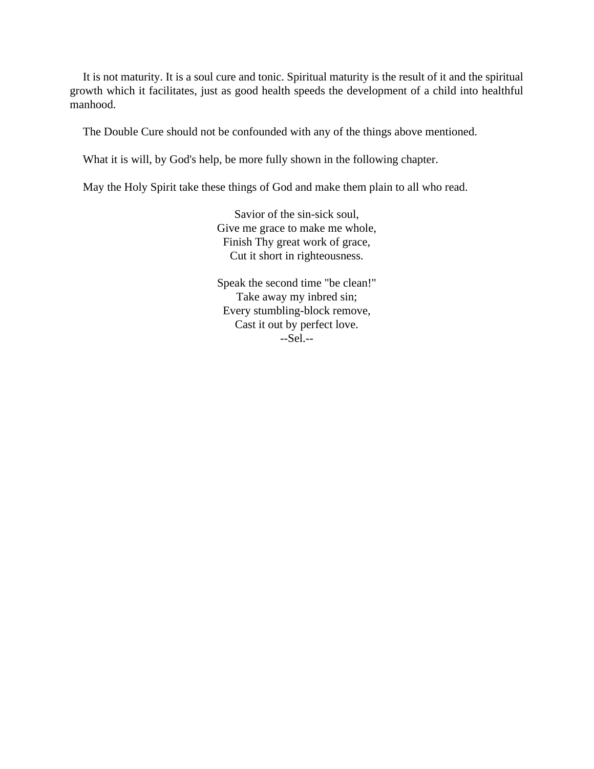It is not maturity. It is a soul cure and tonic. Spiritual maturity is the result of it and the spiritual growth which it facilitates, just as good health speeds the development of a child into healthful manhood.

The Double Cure should not be confounded with any of the things above mentioned.

What it is will, by God's help, be more fully shown in the following chapter.

May the Holy Spirit take these things of God and make them plain to all who read.

Savior of the sin-sick soul, Give me grace to make me whole, Finish Thy great work of grace, Cut it short in righteousness.

Speak the second time "be clean!" Take away my inbred sin; Every stumbling-block remove, Cast it out by perfect love. --Sel.--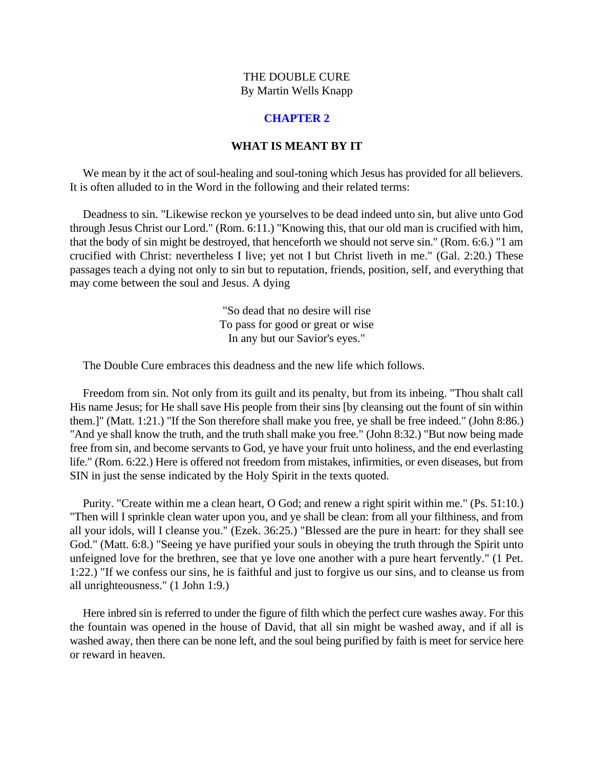# **CHAPTER 2**

## **WHAT IS MEANT BY IT**

<span id="page-6-0"></span>We mean by it the act of soul-healing and soul-toning which Jesus has provided for all believers. It is often alluded to in the Word in the following and their related terms:

Deadness to sin. "Likewise reckon ye yourselves to be dead indeed unto sin, but alive unto God through Jesus Christ our Lord." (Rom. 6:11.) "Knowing this, that our old man is crucified with him, that the body of sin might be destroyed, that henceforth we should not serve sin." (Rom. 6:6.) "1 am crucified with Christ: nevertheless I live; yet not I but Christ liveth in me." (Gal. 2:20.) These passages teach a dying not only to sin but to reputation, friends, position, self, and everything that may come between the soul and Jesus. A dying

> "So dead that no desire will rise To pass for good or great or wise In any but our Savior's eyes."

The Double Cure embraces this deadness and the new life which follows.

Freedom from sin. Not only from its guilt and its penalty, but from its inbeing. "Thou shalt call His name Jesus; for He shall save His people from their sins [by cleansing out the fount of sin within them.]" (Matt. 1:21.) "If the Son therefore shall make you free, ye shall be free indeed." (John 8:86.) "And ye shall know the truth, and the truth shall make you free." (John 8:32.) "But now being made free from sin, and become servants to God, ye have your fruit unto holiness, and the end everlasting life." (Rom. 6:22.) Here is offered not freedom from mistakes, infirmities, or even diseases, but from SIN in just the sense indicated by the Holy Spirit in the texts quoted.

Purity. "Create within me a clean heart, O God; and renew a right spirit within me." (Ps. 51:10.) "Then will I sprinkle clean water upon you, and ye shall be clean: from all your filthiness, and from all your idols, will I cleanse you." (Ezek. 36:25.) "Blessed are the pure in heart: for they shall see God." (Matt. 6:8.) "Seeing ye have purified your souls in obeying the truth through the Spirit unto unfeigned love for the brethren, see that ye love one another with a pure heart fervently." (1 Pet. 1:22.) "If we confess our sins, he is faithful and just to forgive us our sins, and to cleanse us from all unrighteousness." (1 John 1:9.)

Here inbred sin is referred to under the figure of filth which the perfect cure washes away. For this the fountain was opened in the house of David, that all sin might be washed away, and if all is washed away, then there can be none left, and the soul being purified by faith is meet for service here or reward in heaven.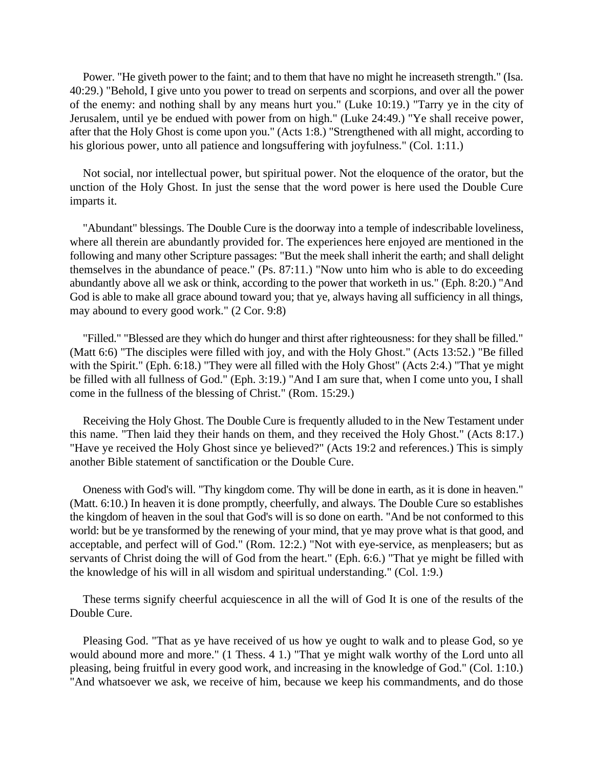Power. "He giveth power to the faint; and to them that have no might he increaseth strength." (Isa. 40:29.) "Behold, I give unto you power to tread on serpents and scorpions, and over all the power of the enemy: and nothing shall by any means hurt you." (Luke 10:19.) "Tarry ye in the city of Jerusalem, until ye be endued with power from on high." (Luke 24:49.) "Ye shall receive power, after that the Holy Ghost is come upon you." (Acts 1:8.) "Strengthened with all might, according to his glorious power, unto all patience and longsuffering with joyfulness." (Col. 1:11.)

Not social, nor intellectual power, but spiritual power. Not the eloquence of the orator, but the unction of the Holy Ghost. In just the sense that the word power is here used the Double Cure imparts it.

"Abundant" blessings. The Double Cure is the doorway into a temple of indescribable loveliness, where all therein are abundantly provided for. The experiences here enjoyed are mentioned in the following and many other Scripture passages: "But the meek shall inherit the earth; and shall delight themselves in the abundance of peace." (Ps. 87:11.) "Now unto him who is able to do exceeding abundantly above all we ask or think, according to the power that worketh in us." (Eph. 8:20.) "And God is able to make all grace abound toward you; that ye, always having all sufficiency in all things, may abound to every good work." (2 Cor. 9:8)

"Filled." "Blessed are they which do hunger and thirst after righteousness: for they shall be filled." (Matt 6:6) "The disciples were filled with joy, and with the Holy Ghost." (Acts 13:52.) "Be filled with the Spirit." (Eph. 6:18.) "They were all filled with the Holy Ghost" (Acts 2:4.) "That ye might be filled with all fullness of God." (Eph. 3:19.) "And I am sure that, when I come unto you, I shall come in the fullness of the blessing of Christ." (Rom. 15:29.)

Receiving the Holy Ghost. The Double Cure is frequently alluded to in the New Testament under this name. "Then laid they their hands on them, and they received the Holy Ghost." (Acts 8:17.) "Have ye received the Holy Ghost since ye believed?" (Acts 19:2 and references.) This is simply another Bible statement of sanctification or the Double Cure.

Oneness with God's will. "Thy kingdom come. Thy will be done in earth, as it is done in heaven." (Matt. 6:10.) In heaven it is done promptly, cheerfully, and always. The Double Cure so establishes the kingdom of heaven in the soul that God's will is so done on earth. "And be not conformed to this world: but be ye transformed by the renewing of your mind, that ye may prove what is that good, and acceptable, and perfect will of God." (Rom. 12:2.) "Not with eye-service, as menpleasers; but as servants of Christ doing the will of God from the heart." (Eph. 6:6.) "That ye might be filled with the knowledge of his will in all wisdom and spiritual understanding." (Col. 1:9.)

These terms signify cheerful acquiescence in all the will of God It is one of the results of the Double Cure.

Pleasing God. "That as ye have received of us how ye ought to walk and to please God, so ye would abound more and more." (1 Thess. 4 1.) "That ye might walk worthy of the Lord unto all pleasing, being fruitful in every good work, and increasing in the knowledge of God." (Col. 1:10.) "And whatsoever we ask, we receive of him, because we keep his commandments, and do those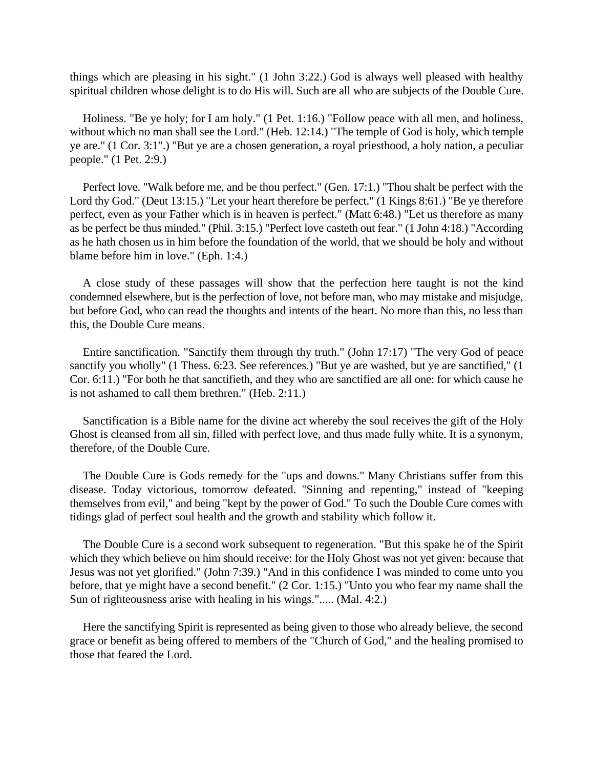things which are pleasing in his sight." (1 John 3:22.) God is always well pleased with healthy spiritual children whose delight is to do His will. Such are all who are subjects of the Double Cure.

Holiness. "Be ye holy; for I am holy." (1 Pet. 1:16.) "Follow peace with all men, and holiness, without which no man shall see the Lord." (Heb. 12:14.) "The temple of God is holy, which temple ye are." (1 Cor. 3:1".) "But ye are a chosen generation, a royal priesthood, a holy nation, a peculiar people." (1 Pet. 2:9.)

Perfect love. "Walk before me, and be thou perfect." (Gen. 17:1.) "Thou shalt be perfect with the Lord thy God." (Deut 13:15.) "Let your heart therefore be perfect." (1 Kings 8:61.) "Be ye therefore perfect, even as your Father which is in heaven is perfect." (Matt 6:48.) "Let us therefore as many as be perfect be thus minded." (Phil. 3:15.) "Perfect love casteth out fear." (1 John 4:18.) "According as he hath chosen us in him before the foundation of the world, that we should be holy and without blame before him in love." (Eph. 1:4.)

A close study of these passages will show that the perfection here taught is not the kind condemned elsewhere, but is the perfection of love, not before man, who may mistake and misjudge, but before God, who can read the thoughts and intents of the heart. No more than this, no less than this, the Double Cure means.

Entire sanctification. "Sanctify them through thy truth." (John 17:17) "The very God of peace sanctify you wholly" (1 Thess. 6:23. See references.) "But ye are washed, but ye are sanctified," (1 Cor. 6:11.) "For both he that sanctifieth, and they who are sanctified are all one: for which cause he is not ashamed to call them brethren." (Heb. 2:11.)

Sanctification is a Bible name for the divine act whereby the soul receives the gift of the Holy Ghost is cleansed from all sin, filled with perfect love, and thus made fully white. It is a synonym, therefore, of the Double Cure.

The Double Cure is Gods remedy for the "ups and downs." Many Christians suffer from this disease. Today victorious, tomorrow defeated. "Sinning and repenting," instead of "keeping themselves from evil," and being "kept by the power of God." To such the Double Cure comes with tidings glad of perfect soul health and the growth and stability which follow it.

The Double Cure is a second work subsequent to regeneration. "But this spake he of the Spirit which they which believe on him should receive: for the Holy Ghost was not yet given: because that Jesus was not yet glorified." (John 7:39.) "And in this confidence I was minded to come unto you before, that ye might have a second benefit." (2 Cor. 1:15.) "Unto you who fear my name shall the Sun of righteousness arise with healing in his wings."..... (Mal. 4:2.)

Here the sanctifying Spirit is represented as being given to those who already believe, the second grace or benefit as being offered to members of the "Church of God," and the healing promised to those that feared the Lord.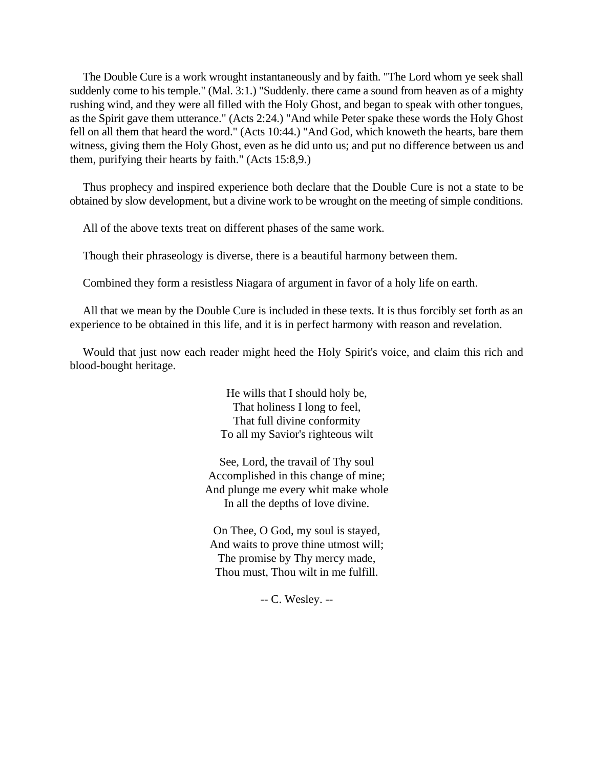The Double Cure is a work wrought instantaneously and by faith. "The Lord whom ye seek shall suddenly come to his temple." (Mal. 3:1.) "Suddenly. there came a sound from heaven as of a mighty rushing wind, and they were all filled with the Holy Ghost, and began to speak with other tongues, as the Spirit gave them utterance." (Acts 2:24.) "And while Peter spake these words the Holy Ghost fell on all them that heard the word." (Acts 10:44.) "And God, which knoweth the hearts, bare them witness, giving them the Holy Ghost, even as he did unto us; and put no difference between us and them, purifying their hearts by faith." (Acts 15:8,9.)

Thus prophecy and inspired experience both declare that the Double Cure is not a state to be obtained by slow development, but a divine work to be wrought on the meeting of simple conditions.

All of the above texts treat on different phases of the same work.

Though their phraseology is diverse, there is a beautiful harmony between them.

Combined they form a resistless Niagara of argument in favor of a holy life on earth.

All that we mean by the Double Cure is included in these texts. It is thus forcibly set forth as an experience to be obtained in this life, and it is in perfect harmony with reason and revelation.

Would that just now each reader might heed the Holy Spirit's voice, and claim this rich and blood-bought heritage.

> He wills that I should holy be, That holiness I long to feel, That full divine conformity To all my Savior's righteous wilt

See, Lord, the travail of Thy soul Accomplished in this change of mine; And plunge me every whit make whole In all the depths of love divine.

On Thee, O God, my soul is stayed, And waits to prove thine utmost will; The promise by Thy mercy made, Thou must, Thou wilt in me fulfill.

-- C. Wesley. --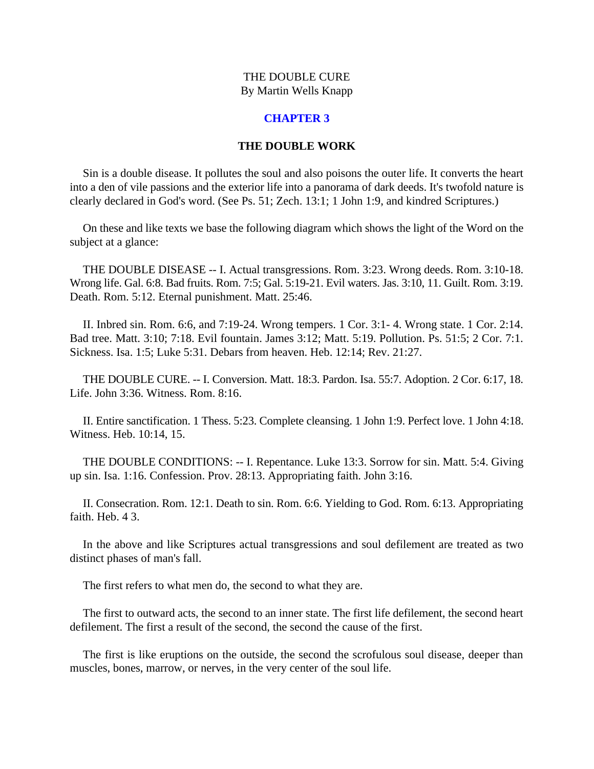#### **CHAPTER 3**

#### **THE DOUBLE WORK**

<span id="page-10-0"></span>Sin is a double disease. It pollutes the soul and also poisons the outer life. It converts the heart into a den of vile passions and the exterior life into a panorama of dark deeds. It's twofold nature is clearly declared in God's word. (See Ps. 51; Zech. 13:1; 1 John 1:9, and kindred Scriptures.)

On these and like texts we base the following diagram which shows the light of the Word on the subject at a glance:

THE DOUBLE DISEASE -- I. Actual transgressions. Rom. 3:23. Wrong deeds. Rom. 3:10-18. Wrong life. Gal. 6:8. Bad fruits. Rom. 7:5; Gal. 5:19-21. Evil waters. Jas. 3:10, 11. Guilt. Rom. 3:19. Death. Rom. 5:12. Eternal punishment. Matt. 25:46.

II. Inbred sin. Rom. 6:6, and 7:19-24. Wrong tempers. 1 Cor. 3:1- 4. Wrong state. 1 Cor. 2:14. Bad tree. Matt. 3:10; 7:18. Evil fountain. James 3:12; Matt. 5:19. Pollution. Ps. 51:5; 2 Cor. 7:1. Sickness. Isa. 1:5; Luke 5:31. Debars from heaven. Heb. 12:14; Rev. 21:27.

THE DOUBLE CURE. -- I. Conversion. Matt. 18:3. Pardon. Isa. 55:7. Adoption. 2 Cor. 6:17, 18. Life. John 3:36. Witness. Rom. 8:16.

II. Entire sanctification. 1 Thess. 5:23. Complete cleansing. 1 John 1:9. Perfect love. 1 John 4:18. Witness. Heb. 10:14, 15.

THE DOUBLE CONDITIONS: -- I. Repentance. Luke 13:3. Sorrow for sin. Matt. 5:4. Giving up sin. Isa. 1:16. Confession. Prov. 28:13. Appropriating faith. John 3:16.

II. Consecration. Rom. 12:1. Death to sin. Rom. 6:6. Yielding to God. Rom. 6:13. Appropriating faith. Heb. 4 3.

In the above and like Scriptures actual transgressions and soul defilement are treated as two distinct phases of man's fall.

The first refers to what men do, the second to what they are.

The first to outward acts, the second to an inner state. The first life defilement, the second heart defilement. The first a result of the second, the second the cause of the first.

The first is like eruptions on the outside, the second the scrofulous soul disease, deeper than muscles, bones, marrow, or nerves, in the very center of the soul life.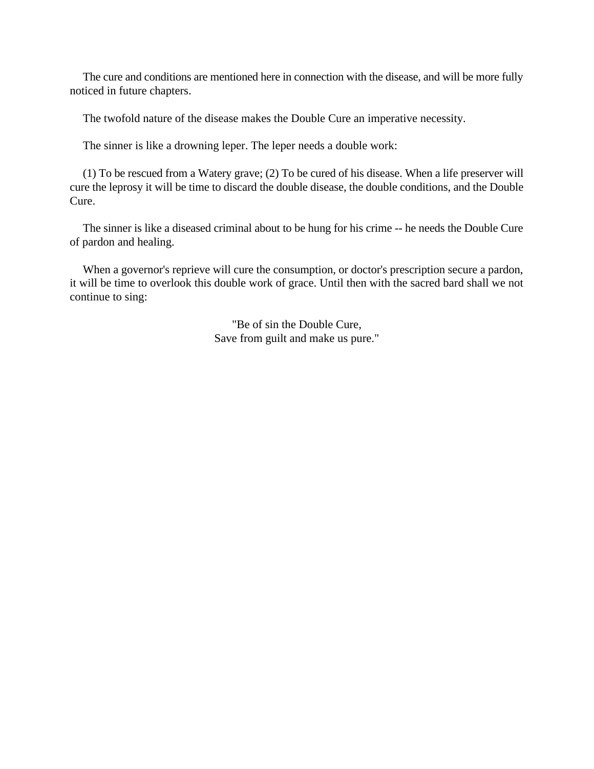The cure and conditions are mentioned here in connection with the disease, and will be more fully noticed in future chapters.

The twofold nature of the disease makes the Double Cure an imperative necessity.

The sinner is like a drowning leper. The leper needs a double work:

(1) To be rescued from a Watery grave; (2) To be cured of his disease. When a life preserver will cure the leprosy it will be time to discard the double disease, the double conditions, and the Double Cure.

The sinner is like a diseased criminal about to be hung for his crime -- he needs the Double Cure of pardon and healing.

When a governor's reprieve will cure the consumption, or doctor's prescription secure a pardon, it will be time to overlook this double work of grace. Until then with the sacred bard shall we not continue to sing:

> "Be of sin the Double Cure, Save from guilt and make us pure."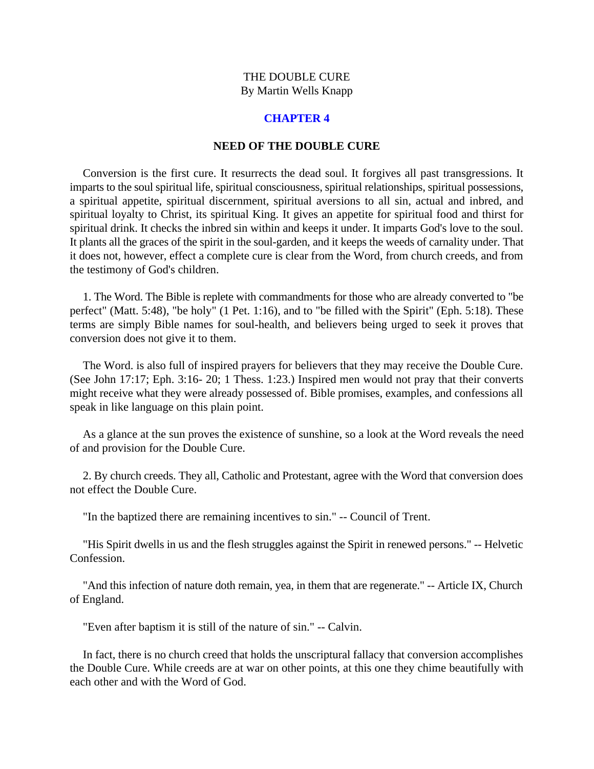#### **CHAPTER 4**

#### **NEED OF THE DOUBLE CURE**

<span id="page-12-0"></span>Conversion is the first cure. It resurrects the dead soul. It forgives all past transgressions. It imparts to the soul spiritual life, spiritual consciousness, spiritual relationships, spiritual possessions, a spiritual appetite, spiritual discernment, spiritual aversions to all sin, actual and inbred, and spiritual loyalty to Christ, its spiritual King. It gives an appetite for spiritual food and thirst for spiritual drink. It checks the inbred sin within and keeps it under. It imparts God's love to the soul. It plants all the graces of the spirit in the soul-garden, and it keeps the weeds of carnality under. That it does not, however, effect a complete cure is clear from the Word, from church creeds, and from the testimony of God's children.

1. The Word. The Bible is replete with commandments for those who are already converted to "be perfect" (Matt. 5:48), "be holy" (1 Pet. 1:16), and to "be filled with the Spirit" (Eph. 5:18). These terms are simply Bible names for soul-health, and believers being urged to seek it proves that conversion does not give it to them.

The Word. is also full of inspired prayers for believers that they may receive the Double Cure. (See John 17:17; Eph. 3:16- 20; 1 Thess. 1:23.) Inspired men would not pray that their converts might receive what they were already possessed of. Bible promises, examples, and confessions all speak in like language on this plain point.

As a glance at the sun proves the existence of sunshine, so a look at the Word reveals the need of and provision for the Double Cure.

2. By church creeds. They all, Catholic and Protestant, agree with the Word that conversion does not effect the Double Cure.

"In the baptized there are remaining incentives to sin." -- Council of Trent.

"His Spirit dwells in us and the flesh struggles against the Spirit in renewed persons." -- Helvetic Confession.

"And this infection of nature doth remain, yea, in them that are regenerate." -- Article IX, Church of England.

"Even after baptism it is still of the nature of sin." -- Calvin.

In fact, there is no church creed that holds the unscriptural fallacy that conversion accomplishes the Double Cure. While creeds are at war on other points, at this one they chime beautifully with each other and with the Word of God.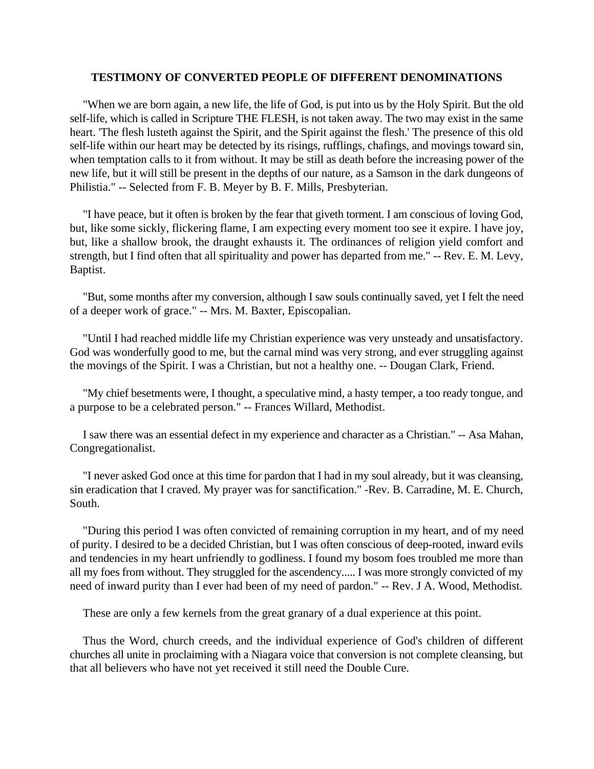#### **TESTIMONY OF CONVERTED PEOPLE OF DIFFERENT DENOMINATIONS**

"When we are born again, a new life, the life of God, is put into us by the Holy Spirit. But the old self-life, which is called in Scripture THE FLESH, is not taken away. The two may exist in the same heart. 'The flesh lusteth against the Spirit, and the Spirit against the flesh.' The presence of this old self-life within our heart may be detected by its risings, rufflings, chafings, and movings toward sin, when temptation calls to it from without. It may be still as death before the increasing power of the new life, but it will still be present in the depths of our nature, as a Samson in the dark dungeons of Philistia." -- Selected from F. B. Meyer by B. F. Mills, Presbyterian.

"I have peace, but it often is broken by the fear that giveth torment. I am conscious of loving God, but, like some sickly, flickering flame, I am expecting every moment too see it expire. I have joy, but, like a shallow brook, the draught exhausts it. The ordinances of religion yield comfort and strength, but I find often that all spirituality and power has departed from me." -- Rev. E. M. Levy, Baptist.

"But, some months after my conversion, although I saw souls continually saved, yet I felt the need of a deeper work of grace." -- Mrs. M. Baxter, Episcopalian.

"Until I had reached middle life my Christian experience was very unsteady and unsatisfactory. God was wonderfully good to me, but the carnal mind was very strong, and ever struggling against the movings of the Spirit. I was a Christian, but not a healthy one. -- Dougan Clark, Friend.

"My chief besetments were, I thought, a speculative mind, a hasty temper, a too ready tongue, and a purpose to be a celebrated person." -- Frances Willard, Methodist.

I saw there was an essential defect in my experience and character as a Christian." -- Asa Mahan, Congregationalist.

"I never asked God once at this time for pardon that I had in my soul already, but it was cleansing, sin eradication that I craved. My prayer was for sanctification." -Rev. B. Carradine, M. E. Church, South.

"During this period I was often convicted of remaining corruption in my heart, and of my need of purity. I desired to be a decided Christian, but I was often conscious of deep-rooted, inward evils and tendencies in my heart unfriendly to godliness. I found my bosom foes troubled me more than all my foes from without. They struggled for the ascendency..... I was more strongly convicted of my need of inward purity than I ever had been of my need of pardon." -- Rev. J A. Wood, Methodist.

These are only a few kernels from the great granary of a dual experience at this point.

Thus the Word, church creeds, and the individual experience of God's children of different churches all unite in proclaiming with a Niagara voice that conversion is not complete cleansing, but that all believers who have not yet received it still need the Double Cure.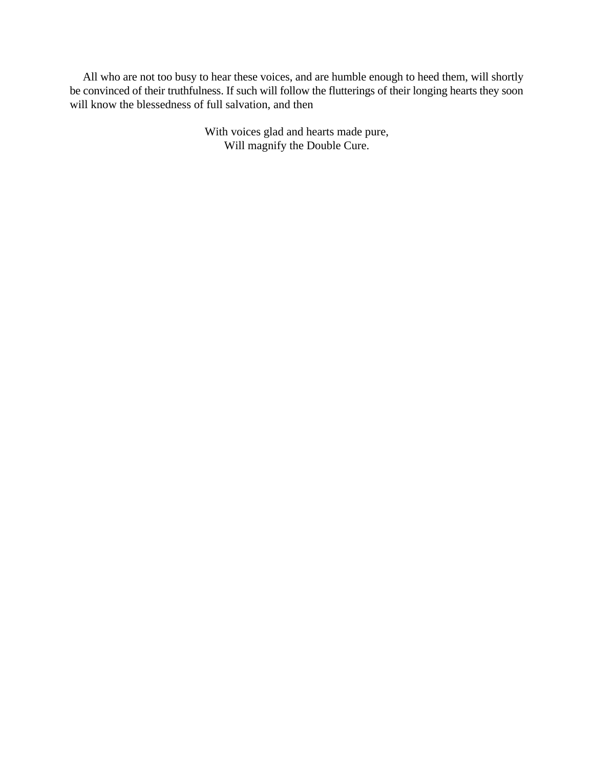All who are not too busy to hear these voices, and are humble enough to heed them, will shortly be convinced of their truthfulness. If such will follow the flutterings of their longing hearts they soon will know the blessedness of full salvation, and then

> With voices glad and hearts made pure, Will magnify the Double Cure.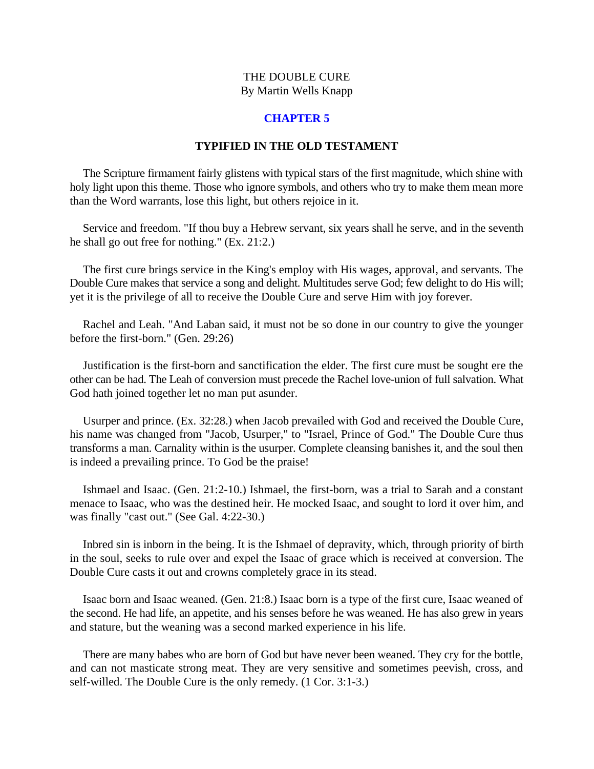#### **CHAPTER 5**

#### **TYPIFIED IN THE OLD TESTAMENT**

<span id="page-15-0"></span>The Scripture firmament fairly glistens with typical stars of the first magnitude, which shine with holy light upon this theme. Those who ignore symbols, and others who try to make them mean more than the Word warrants, lose this light, but others rejoice in it.

Service and freedom. "If thou buy a Hebrew servant, six years shall he serve, and in the seventh he shall go out free for nothing." (Ex. 21:2.)

The first cure brings service in the King's employ with His wages, approval, and servants. The Double Cure makes that service a song and delight. Multitudes serve God; few delight to do His will; yet it is the privilege of all to receive the Double Cure and serve Him with joy forever.

Rachel and Leah. "And Laban said, it must not be so done in our country to give the younger before the first-born." (Gen. 29:26)

Justification is the first-born and sanctification the elder. The first cure must be sought ere the other can be had. The Leah of conversion must precede the Rachel love-union of full salvation. What God hath joined together let no man put asunder.

Usurper and prince. (Ex. 32:28.) when Jacob prevailed with God and received the Double Cure, his name was changed from "Jacob, Usurper," to "Israel, Prince of God." The Double Cure thus transforms a man. Carnality within is the usurper. Complete cleansing banishes it, and the soul then is indeed a prevailing prince. To God be the praise!

Ishmael and Isaac. (Gen. 21:2-10.) Ishmael, the first-born, was a trial to Sarah and a constant menace to Isaac, who was the destined heir. He mocked Isaac, and sought to lord it over him, and was finally "cast out." (See Gal. 4:22-30.)

Inbred sin is inborn in the being. It is the Ishmael of depravity, which, through priority of birth in the soul, seeks to rule over and expel the Isaac of grace which is received at conversion. The Double Cure casts it out and crowns completely grace in its stead.

Isaac born and Isaac weaned. (Gen. 21:8.) Isaac born is a type of the first cure, Isaac weaned of the second. He had life, an appetite, and his senses before he was weaned. He has also grew in years and stature, but the weaning was a second marked experience in his life.

There are many babes who are born of God but have never been weaned. They cry for the bottle, and can not masticate strong meat. They are very sensitive and sometimes peevish, cross, and self-willed. The Double Cure is the only remedy. (1 Cor. 3:1-3.)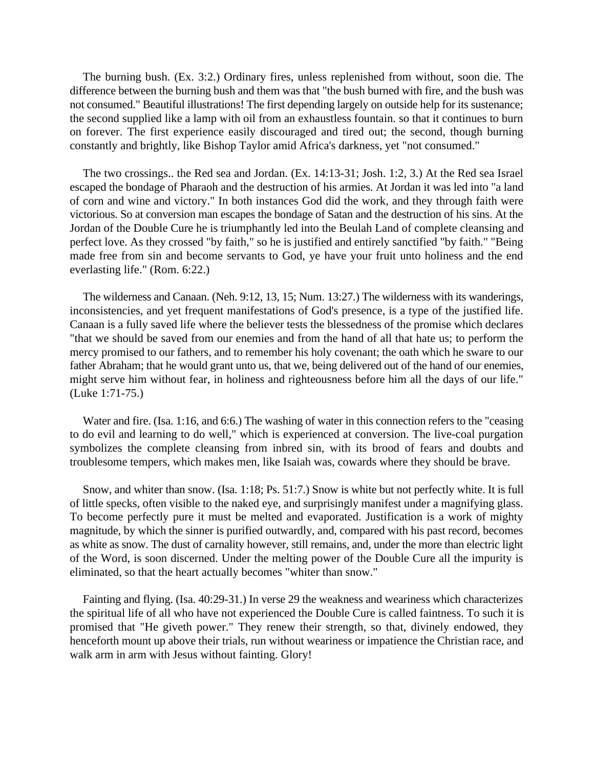The burning bush. (Ex. 3:2.) Ordinary fires, unless replenished from without, soon die. The difference between the burning bush and them was that "the bush burned with fire, and the bush was not consumed." Beautiful illustrations! The first depending largely on outside help for its sustenance; the second supplied like a lamp with oil from an exhaustless fountain. so that it continues to burn on forever. The first experience easily discouraged and tired out; the second, though burning constantly and brightly, like Bishop Taylor amid Africa's darkness, yet "not consumed."

The two crossings.. the Red sea and Jordan. (Ex. 14:13-31; Josh. 1:2, 3.) At the Red sea Israel escaped the bondage of Pharaoh and the destruction of his armies. At Jordan it was led into "a land of corn and wine and victory." In both instances God did the work, and they through faith were victorious. So at conversion man escapes the bondage of Satan and the destruction of his sins. At the Jordan of the Double Cure he is triumphantly led into the Beulah Land of complete cleansing and perfect love. As they crossed "by faith," so he is justified and entirely sanctified "by faith." "Being made free from sin and become servants to God, ye have your fruit unto holiness and the end everlasting life." (Rom. 6:22.)

The wilderness and Canaan. (Neh. 9:12, 13, 15; Num. 13:27.) The wilderness with its wanderings, inconsistencies, and yet frequent manifestations of God's presence, is a type of the justified life. Canaan is a fully saved life where the believer tests the blessedness of the promise which declares "that we should be saved from our enemies and from the hand of all that hate us; to perform the mercy promised to our fathers, and to remember his holy covenant; the oath which he sware to our father Abraham; that he would grant unto us, that we, being delivered out of the hand of our enemies, might serve him without fear, in holiness and righteousness before him all the days of our life." (Luke 1:71-75.)

Water and fire. (Isa. 1:16, and 6:6.) The washing of water in this connection refers to the "ceasing to do evil and learning to do well," which is experienced at conversion. The live-coal purgation symbolizes the complete cleansing from inbred sin, with its brood of fears and doubts and troublesome tempers, which makes men, like Isaiah was, cowards where they should be brave.

Snow, and whiter than snow. (Isa. 1:18; Ps. 51:7.) Snow is white but not perfectly white. It is full of little specks, often visible to the naked eye, and surprisingly manifest under a magnifying glass. To become perfectly pure it must be melted and evaporated. Justification is a work of mighty magnitude, by which the sinner is purified outwardly, and, compared with his past record, becomes as white as snow. The dust of carnality however, still remains, and, under the more than electric light of the Word, is soon discerned. Under the melting power of the Double Cure all the impurity is eliminated, so that the heart actually becomes "whiter than snow."

Fainting and flying. (Isa. 40:29-31.) In verse 29 the weakness and weariness which characterizes the spiritual life of all who have not experienced the Double Cure is called faintness. To such it is promised that "He giveth power." They renew their strength, so that, divinely endowed, they henceforth mount up above their trials, run without weariness or impatience the Christian race, and walk arm in arm with Jesus without fainting. Glory!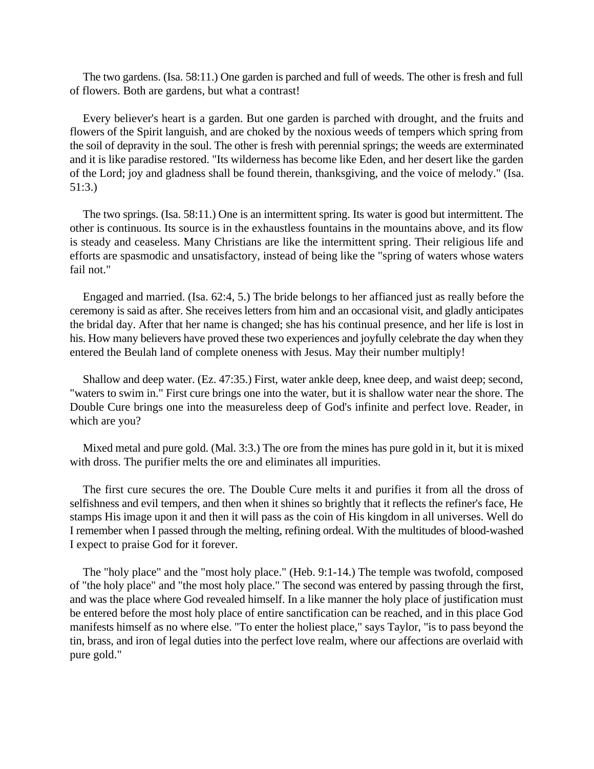The two gardens. (Isa. 58:11.) One garden is parched and full of weeds. The other is fresh and full of flowers. Both are gardens, but what a contrast!

Every believer's heart is a garden. But one garden is parched with drought, and the fruits and flowers of the Spirit languish, and are choked by the noxious weeds of tempers which spring from the soil of depravity in the soul. The other is fresh with perennial springs; the weeds are exterminated and it is like paradise restored. "Its wilderness has become like Eden, and her desert like the garden of the Lord; joy and gladness shall be found therein, thanksgiving, and the voice of melody." (Isa. 51:3.)

The two springs. (Isa. 58:11.) One is an intermittent spring. Its water is good but intermittent. The other is continuous. Its source is in the exhaustless fountains in the mountains above, and its flow is steady and ceaseless. Many Christians are like the intermittent spring. Their religious life and efforts are spasmodic and unsatisfactory, instead of being like the "spring of waters whose waters fail not."

Engaged and married. (Isa. 62:4, 5.) The bride belongs to her affianced just as really before the ceremony is said as after. She receives letters from him and an occasional visit, and gladly anticipates the bridal day. After that her name is changed; she has his continual presence, and her life is lost in his. How many believers have proved these two experiences and joyfully celebrate the day when they entered the Beulah land of complete oneness with Jesus. May their number multiply!

Shallow and deep water. (Ez. 47:35.) First, water ankle deep, knee deep, and waist deep; second, "waters to swim in." First cure brings one into the water, but it is shallow water near the shore. The Double Cure brings one into the measureless deep of God's infinite and perfect love. Reader, in which are you?

Mixed metal and pure gold. (Mal. 3:3.) The ore from the mines has pure gold in it, but it is mixed with dross. The purifier melts the ore and eliminates all impurities.

The first cure secures the ore. The Double Cure melts it and purifies it from all the dross of selfishness and evil tempers, and then when it shines so brightly that it reflects the refiner's face, He stamps His image upon it and then it will pass as the coin of His kingdom in all universes. Well do I remember when I passed through the melting, refining ordeal. With the multitudes of blood-washed I expect to praise God for it forever.

The "holy place" and the "most holy place." (Heb. 9:1-14.) The temple was twofold, composed of "the holy place" and "the most holy place." The second was entered by passing through the first, and was the place where God revealed himself. In a like manner the holy place of justification must be entered before the most holy place of entire sanctification can be reached, and in this place God manifests himself as no where else. "To enter the holiest place," says Taylor, "is to pass beyond the tin, brass, and iron of legal duties into the perfect love realm, where our affections are overlaid with pure gold."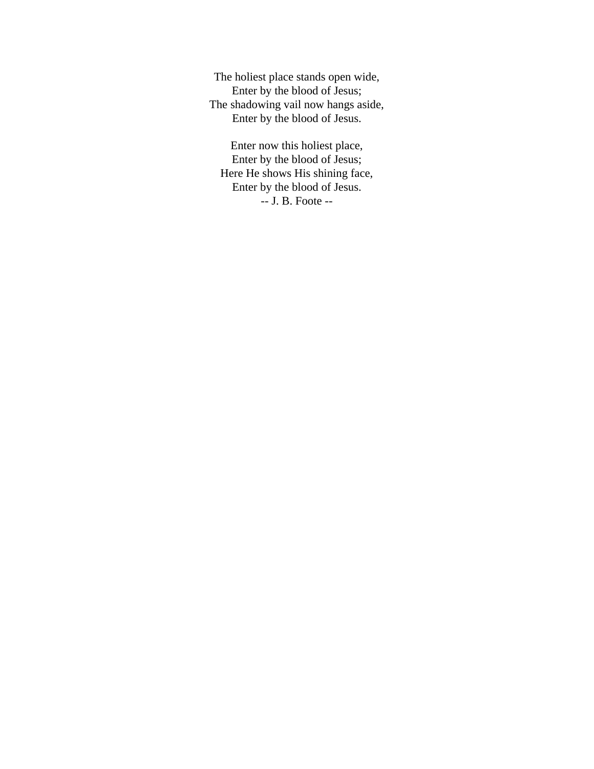The holiest place stands open wide, Enter by the blood of Jesus; The shadowing vail now hangs aside, Enter by the blood of Jesus.

Enter now this holiest place, Enter by the blood of Jesus; Here He shows His shining face, Enter by the blood of Jesus. -- J. B. Foote --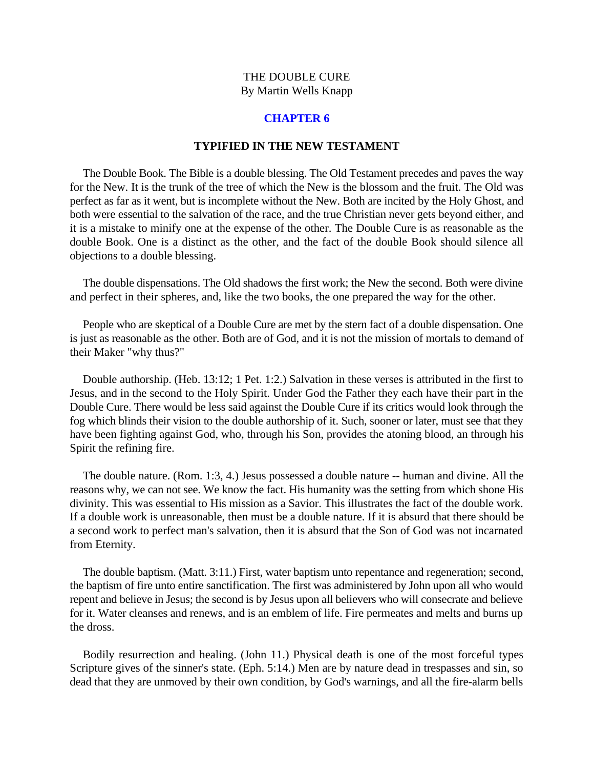#### **CHAPTER 6**

#### **TYPIFIED IN THE NEW TESTAMENT**

<span id="page-19-0"></span>The Double Book. The Bible is a double blessing. The Old Testament precedes and paves the way for the New. It is the trunk of the tree of which the New is the blossom and the fruit. The Old was perfect as far as it went, but is incomplete without the New. Both are incited by the Holy Ghost, and both were essential to the salvation of the race, and the true Christian never gets beyond either, and it is a mistake to minify one at the expense of the other. The Double Cure is as reasonable as the double Book. One is a distinct as the other, and the fact of the double Book should silence all objections to a double blessing.

The double dispensations. The Old shadows the first work; the New the second. Both were divine and perfect in their spheres, and, like the two books, the one prepared the way for the other.

People who are skeptical of a Double Cure are met by the stern fact of a double dispensation. One is just as reasonable as the other. Both are of God, and it is not the mission of mortals to demand of their Maker "why thus?"

Double authorship. (Heb. 13:12; 1 Pet. 1:2.) Salvation in these verses is attributed in the first to Jesus, and in the second to the Holy Spirit. Under God the Father they each have their part in the Double Cure. There would be less said against the Double Cure if its critics would look through the fog which blinds their vision to the double authorship of it. Such, sooner or later, must see that they have been fighting against God, who, through his Son, provides the atoning blood, an through his Spirit the refining fire.

The double nature. (Rom. 1:3, 4.) Jesus possessed a double nature -- human and divine. All the reasons why, we can not see. We know the fact. His humanity was the setting from which shone His divinity. This was essential to His mission as a Savior. This illustrates the fact of the double work. If a double work is unreasonable, then must be a double nature. If it is absurd that there should be a second work to perfect man's salvation, then it is absurd that the Son of God was not incarnated from Eternity.

The double baptism. (Matt. 3:11.) First, water baptism unto repentance and regeneration; second, the baptism of fire unto entire sanctification. The first was administered by John upon all who would repent and believe in Jesus; the second is by Jesus upon all believers who will consecrate and believe for it. Water cleanses and renews, and is an emblem of life. Fire permeates and melts and burns up the dross.

Bodily resurrection and healing. (John 11.) Physical death is one of the most forceful types Scripture gives of the sinner's state. (Eph. 5:14.) Men are by nature dead in trespasses and sin, so dead that they are unmoved by their own condition, by God's warnings, and all the fire-alarm bells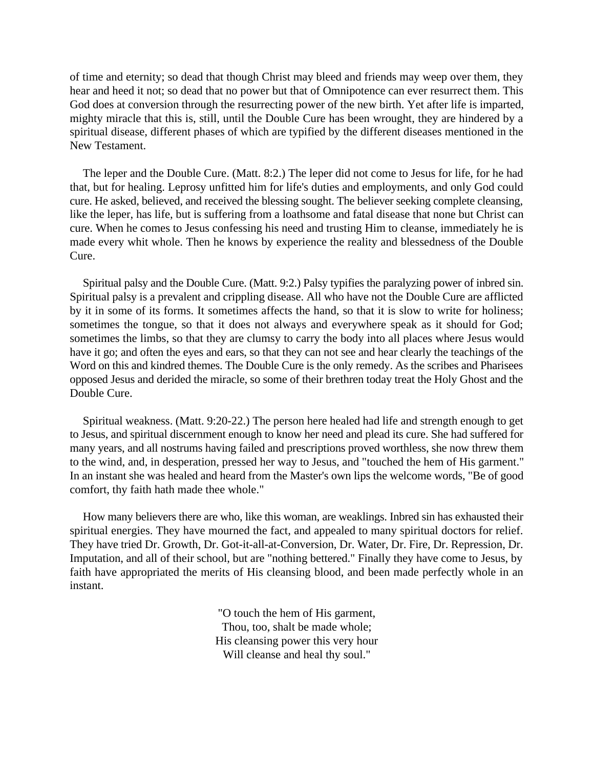of time and eternity; so dead that though Christ may bleed and friends may weep over them, they hear and heed it not; so dead that no power but that of Omnipotence can ever resurrect them. This God does at conversion through the resurrecting power of the new birth. Yet after life is imparted, mighty miracle that this is, still, until the Double Cure has been wrought, they are hindered by a spiritual disease, different phases of which are typified by the different diseases mentioned in the New Testament.

The leper and the Double Cure. (Matt. 8:2.) The leper did not come to Jesus for life, for he had that, but for healing. Leprosy unfitted him for life's duties and employments, and only God could cure. He asked, believed, and received the blessing sought. The believer seeking complete cleansing, like the leper, has life, but is suffering from a loathsome and fatal disease that none but Christ can cure. When he comes to Jesus confessing his need and trusting Him to cleanse, immediately he is made every whit whole. Then he knows by experience the reality and blessedness of the Double Cure.

Spiritual palsy and the Double Cure. (Matt. 9:2.) Palsy typifies the paralyzing power of inbred sin. Spiritual palsy is a prevalent and crippling disease. All who have not the Double Cure are afflicted by it in some of its forms. It sometimes affects the hand, so that it is slow to write for holiness; sometimes the tongue, so that it does not always and everywhere speak as it should for God; sometimes the limbs, so that they are clumsy to carry the body into all places where Jesus would have it go; and often the eyes and ears, so that they can not see and hear clearly the teachings of the Word on this and kindred themes. The Double Cure is the only remedy. As the scribes and Pharisees opposed Jesus and derided the miracle, so some of their brethren today treat the Holy Ghost and the Double Cure.

Spiritual weakness. (Matt. 9:20-22.) The person here healed had life and strength enough to get to Jesus, and spiritual discernment enough to know her need and plead its cure. She had suffered for many years, and all nostrums having failed and prescriptions proved worthless, she now threw them to the wind, and, in desperation, pressed her way to Jesus, and "touched the hem of His garment." In an instant she was healed and heard from the Master's own lips the welcome words, "Be of good comfort, thy faith hath made thee whole."

How many believers there are who, like this woman, are weaklings. Inbred sin has exhausted their spiritual energies. They have mourned the fact, and appealed to many spiritual doctors for relief. They have tried Dr. Growth, Dr. Got-it-all-at-Conversion, Dr. Water, Dr. Fire, Dr. Repression, Dr. Imputation, and all of their school, but are "nothing bettered." Finally they have come to Jesus, by faith have appropriated the merits of His cleansing blood, and been made perfectly whole in an instant.

> "O touch the hem of His garment, Thou, too, shalt be made whole; His cleansing power this very hour Will cleanse and heal thy soul."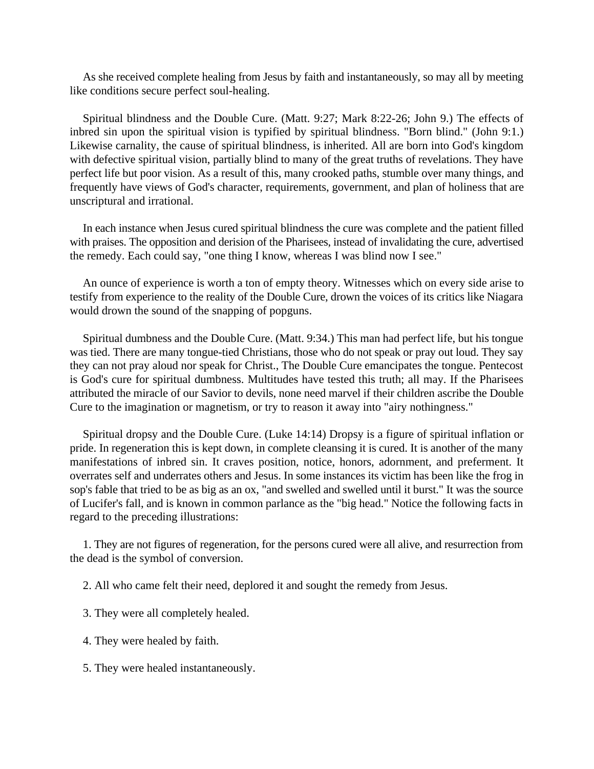As she received complete healing from Jesus by faith and instantaneously, so may all by meeting like conditions secure perfect soul-healing.

Spiritual blindness and the Double Cure. (Matt. 9:27; Mark 8:22-26; John 9.) The effects of inbred sin upon the spiritual vision is typified by spiritual blindness. "Born blind." (John 9:1.) Likewise carnality, the cause of spiritual blindness, is inherited. All are born into God's kingdom with defective spiritual vision, partially blind to many of the great truths of revelations. They have perfect life but poor vision. As a result of this, many crooked paths, stumble over many things, and frequently have views of God's character, requirements, government, and plan of holiness that are unscriptural and irrational.

In each instance when Jesus cured spiritual blindness the cure was complete and the patient filled with praises. The opposition and derision of the Pharisees, instead of invalidating the cure, advertised the remedy. Each could say, "one thing I know, whereas I was blind now I see."

An ounce of experience is worth a ton of empty theory. Witnesses which on every side arise to testify from experience to the reality of the Double Cure, drown the voices of its critics like Niagara would drown the sound of the snapping of popguns.

Spiritual dumbness and the Double Cure. (Matt. 9:34.) This man had perfect life, but his tongue was tied. There are many tongue-tied Christians, those who do not speak or pray out loud. They say they can not pray aloud nor speak for Christ., The Double Cure emancipates the tongue. Pentecost is God's cure for spiritual dumbness. Multitudes have tested this truth; all may. If the Pharisees attributed the miracle of our Savior to devils, none need marvel if their children ascribe the Double Cure to the imagination or magnetism, or try to reason it away into "airy nothingness."

Spiritual dropsy and the Double Cure. (Luke 14:14) Dropsy is a figure of spiritual inflation or pride. In regeneration this is kept down, in complete cleansing it is cured. It is another of the many manifestations of inbred sin. It craves position, notice, honors, adornment, and preferment. It overrates self and underrates others and Jesus. In some instances its victim has been like the frog in sop's fable that tried to be as big as an ox, "and swelled and swelled until it burst." It was the source of Lucifer's fall, and is known in common parlance as the "big head." Notice the following facts in regard to the preceding illustrations:

1. They are not figures of regeneration, for the persons cured were all alive, and resurrection from the dead is the symbol of conversion.

2. All who came felt their need, deplored it and sought the remedy from Jesus.

- 3. They were all completely healed.
- 4. They were healed by faith.
- 5. They were healed instantaneously.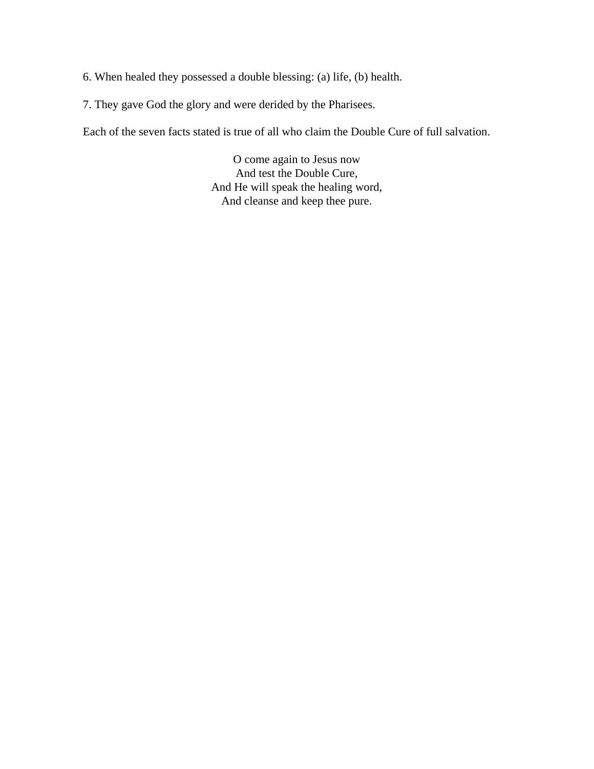- 6. When healed they possessed a double blessing: (a) life, (b) health.
- 7. They gave God the glory and were derided by the Pharisees.

Each of the seven facts stated is true of all who claim the Double Cure of full salvation.

O come again to Jesus now And test the Double Cure, And He will speak the healing word, And cleanse and keep thee pure.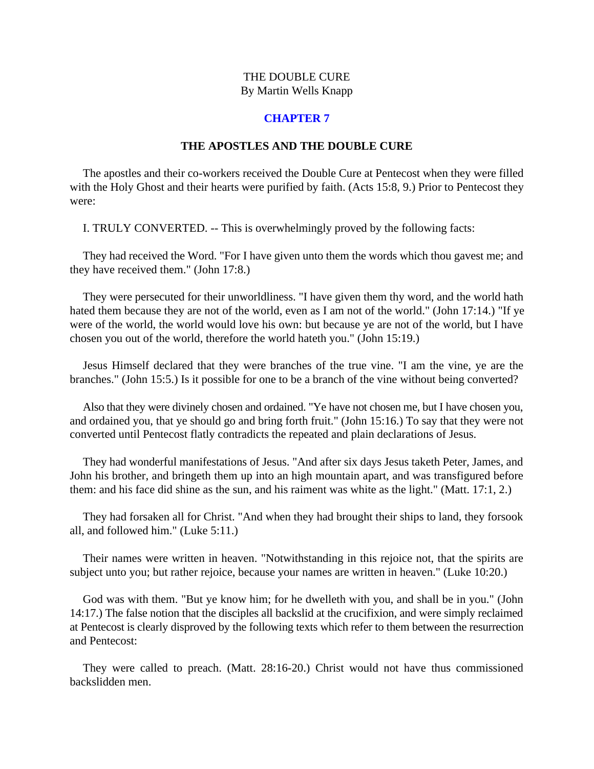# **CHAPTER 7**

# **THE APOSTLES AND THE DOUBLE CURE**

<span id="page-23-0"></span>The apostles and their co-workers received the Double Cure at Pentecost when they were filled with the Holy Ghost and their hearts were purified by faith. (Acts 15:8, 9.) Prior to Pentecost they were:

I. TRULY CONVERTED. -- This is overwhelmingly proved by the following facts:

They had received the Word. "For I have given unto them the words which thou gavest me; and they have received them." (John 17:8.)

They were persecuted for their unworldliness. "I have given them thy word, and the world hath hated them because they are not of the world, even as I am not of the world." (John 17:14.) "If ye were of the world, the world would love his own: but because ye are not of the world, but I have chosen you out of the world, therefore the world hateth you." (John 15:19.)

Jesus Himself declared that they were branches of the true vine. "I am the vine, ye are the branches." (John 15:5.) Is it possible for one to be a branch of the vine without being converted?

Also that they were divinely chosen and ordained. "Ye have not chosen me, but I have chosen you, and ordained you, that ye should go and bring forth fruit." (John 15:16.) To say that they were not converted until Pentecost flatly contradicts the repeated and plain declarations of Jesus.

They had wonderful manifestations of Jesus. "And after six days Jesus taketh Peter, James, and John his brother, and bringeth them up into an high mountain apart, and was transfigured before them: and his face did shine as the sun, and his raiment was white as the light." (Matt. 17:1, 2.)

They had forsaken all for Christ. "And when they had brought their ships to land, they forsook all, and followed him." (Luke 5:11.)

Their names were written in heaven. "Notwithstanding in this rejoice not, that the spirits are subject unto you; but rather rejoice, because your names are written in heaven." (Luke 10:20.)

God was with them. "But ye know him; for he dwelleth with you, and shall be in you." (John 14:17.) The false notion that the disciples all backslid at the crucifixion, and were simply reclaimed at Pentecost is clearly disproved by the following texts which refer to them between the resurrection and Pentecost:

They were called to preach. (Matt. 28:16-20.) Christ would not have thus commissioned backslidden men.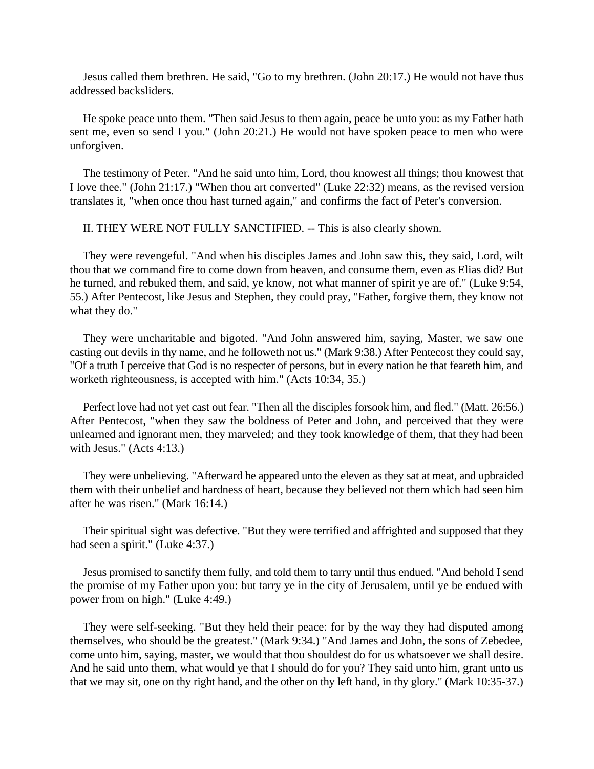Jesus called them brethren. He said, "Go to my brethren. (John 20:17.) He would not have thus addressed backsliders.

He spoke peace unto them. "Then said Jesus to them again, peace be unto you: as my Father hath sent me, even so send I you." (John 20:21.) He would not have spoken peace to men who were unforgiven.

The testimony of Peter. "And he said unto him, Lord, thou knowest all things; thou knowest that I love thee." (John 21:17.) "When thou art converted" (Luke 22:32) means, as the revised version translates it, "when once thou hast turned again," and confirms the fact of Peter's conversion.

II. THEY WERE NOT FULLY SANCTIFIED. -- This is also clearly shown.

They were revengeful. "And when his disciples James and John saw this, they said, Lord, wilt thou that we command fire to come down from heaven, and consume them, even as Elias did? But he turned, and rebuked them, and said, ye know, not what manner of spirit ye are of." (Luke 9:54, 55.) After Pentecost, like Jesus and Stephen, they could pray, "Father, forgive them, they know not what they do."

They were uncharitable and bigoted. "And John answered him, saying, Master, we saw one casting out devils in thy name, and he followeth not us." (Mark 9:38.) After Pentecost they could say, "Of a truth I perceive that God is no respecter of persons, but in every nation he that feareth him, and worketh righteousness, is accepted with him." (Acts 10:34, 35.)

Perfect love had not yet cast out fear. "Then all the disciples forsook him, and fled." (Matt. 26:56.) After Pentecost, "when they saw the boldness of Peter and John, and perceived that they were unlearned and ignorant men, they marveled; and they took knowledge of them, that they had been with Jesus." (Acts 4:13.)

They were unbelieving. "Afterward he appeared unto the eleven as they sat at meat, and upbraided them with their unbelief and hardness of heart, because they believed not them which had seen him after he was risen." (Mark 16:14.)

Their spiritual sight was defective. "But they were terrified and affrighted and supposed that they had seen a spirit." (Luke 4:37.)

Jesus promised to sanctify them fully, and told them to tarry until thus endued. "And behold I send the promise of my Father upon you: but tarry ye in the city of Jerusalem, until ye be endued with power from on high." (Luke 4:49.)

They were self-seeking. "But they held their peace: for by the way they had disputed among themselves, who should be the greatest." (Mark 9:34.) "And James and John, the sons of Zebedee, come unto him, saying, master, we would that thou shouldest do for us whatsoever we shall desire. And he said unto them, what would ye that I should do for you? They said unto him, grant unto us that we may sit, one on thy right hand, and the other on thy left hand, in thy glory." (Mark 10:35-37.)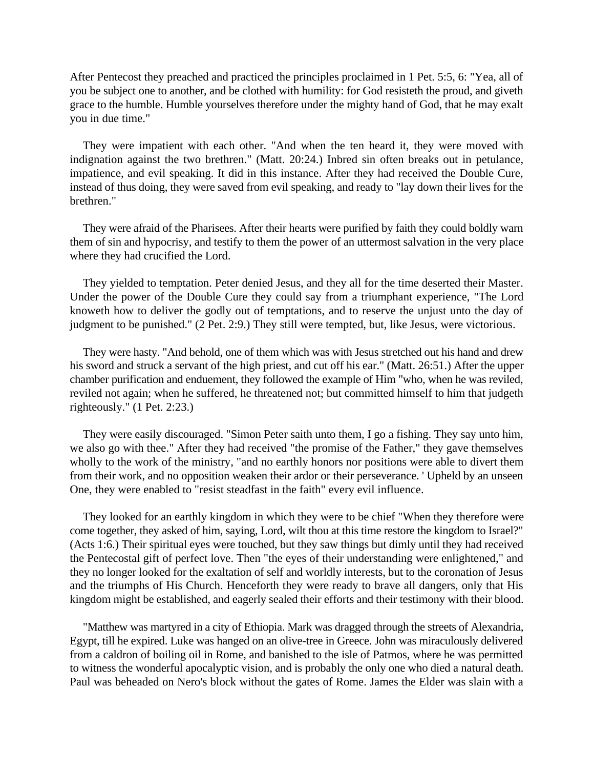After Pentecost they preached and practiced the principles proclaimed in 1 Pet. 5:5, 6: "Yea, all of you be subject one to another, and be clothed with humility: for God resisteth the proud, and giveth grace to the humble. Humble yourselves therefore under the mighty hand of God, that he may exalt you in due time."

They were impatient with each other. "And when the ten heard it, they were moved with indignation against the two brethren." (Matt. 20:24.) Inbred sin often breaks out in petulance, impatience, and evil speaking. It did in this instance. After they had received the Double Cure, instead of thus doing, they were saved from evil speaking, and ready to "lay down their lives for the brethren."

They were afraid of the Pharisees. After their hearts were purified by faith they could boldly warn them of sin and hypocrisy, and testify to them the power of an uttermost salvation in the very place where they had crucified the Lord.

They yielded to temptation. Peter denied Jesus, and they all for the time deserted their Master. Under the power of the Double Cure they could say from a triumphant experience, "The Lord knoweth how to deliver the godly out of temptations, and to reserve the unjust unto the day of judgment to be punished." (2 Pet. 2:9.) They still were tempted, but, like Jesus, were victorious.

They were hasty. "And behold, one of them which was with Jesus stretched out his hand and drew his sword and struck a servant of the high priest, and cut off his ear." (Matt. 26:51.) After the upper chamber purification and enduement, they followed the example of Him "who, when he was reviled, reviled not again; when he suffered, he threatened not; but committed himself to him that judgeth righteously." (1 Pet. 2:23.)

They were easily discouraged. "Simon Peter saith unto them, I go a fishing. They say unto him, we also go with thee." After they had received "the promise of the Father," they gave themselves wholly to the work of the ministry, "and no earthly honors nor positions were able to divert them from their work, and no opposition weaken their ardor or their perseverance. ' Upheld by an unseen One, they were enabled to "resist steadfast in the faith" every evil influence.

They looked for an earthly kingdom in which they were to be chief "When they therefore were come together, they asked of him, saying, Lord, wilt thou at this time restore the kingdom to Israel?" (Acts 1:6.) Their spiritual eyes were touched, but they saw things but dimly until they had received the Pentecostal gift of perfect love. Then "the eyes of their understanding were enlightened," and they no longer looked for the exaltation of self and worldly interests, but to the coronation of Jesus and the triumphs of His Church. Henceforth they were ready to brave all dangers, only that His kingdom might be established, and eagerly sealed their efforts and their testimony with their blood.

"Matthew was martyred in a city of Ethiopia. Mark was dragged through the streets of Alexandria, Egypt, till he expired. Luke was hanged on an olive-tree in Greece. John was miraculously delivered from a caldron of boiling oil in Rome, and banished to the isle of Patmos, where he was permitted to witness the wonderful apocalyptic vision, and is probably the only one who died a natural death. Paul was beheaded on Nero's block without the gates of Rome. James the Elder was slain with a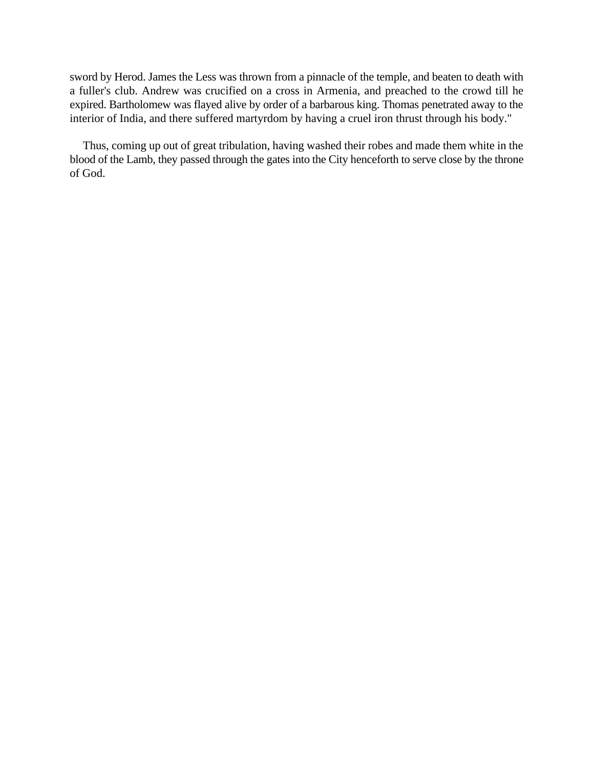sword by Herod. James the Less was thrown from a pinnacle of the temple, and beaten to death with a fuller's club. Andrew was crucified on a cross in Armenia, and preached to the crowd till he expired. Bartholomew was flayed alive by order of a barbarous king. Thomas penetrated away to the interior of India, and there suffered martyrdom by having a cruel iron thrust through his body."

Thus, coming up out of great tribulation, having washed their robes and made them white in the blood of the Lamb, they passed through the gates into the City henceforth to serve close by the throne of God.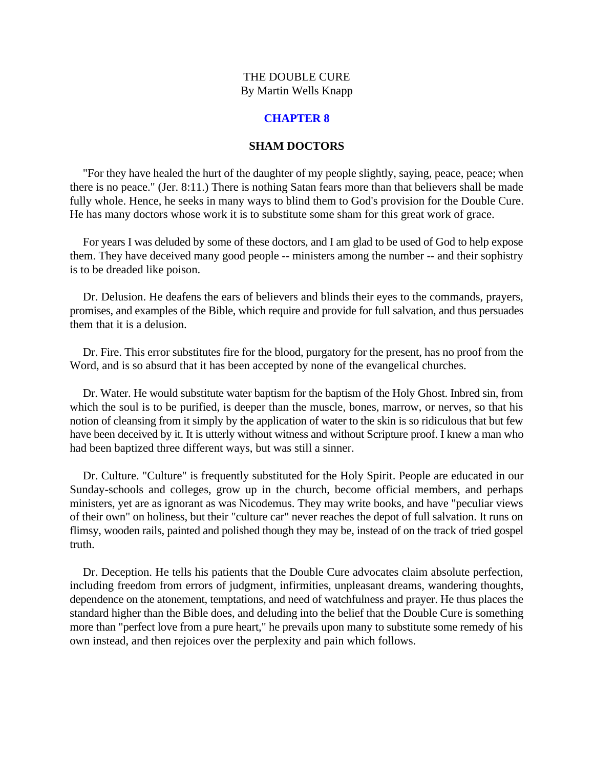#### **CHAPTER 8**

#### **SHAM DOCTORS**

<span id="page-27-0"></span>"For they have healed the hurt of the daughter of my people slightly, saying, peace, peace; when there is no peace." (Jer. 8:11.) There is nothing Satan fears more than that believers shall be made fully whole. Hence, he seeks in many ways to blind them to God's provision for the Double Cure. He has many doctors whose work it is to substitute some sham for this great work of grace.

For years I was deluded by some of these doctors, and I am glad to be used of God to help expose them. They have deceived many good people -- ministers among the number -- and their sophistry is to be dreaded like poison.

Dr. Delusion. He deafens the ears of believers and blinds their eyes to the commands, prayers, promises, and examples of the Bible, which require and provide for full salvation, and thus persuades them that it is a delusion.

Dr. Fire. This error substitutes fire for the blood, purgatory for the present, has no proof from the Word, and is so absurd that it has been accepted by none of the evangelical churches.

Dr. Water. He would substitute water baptism for the baptism of the Holy Ghost. Inbred sin, from which the soul is to be purified, is deeper than the muscle, bones, marrow, or nerves, so that his notion of cleansing from it simply by the application of water to the skin is so ridiculous that but few have been deceived by it. It is utterly without witness and without Scripture proof. I knew a man who had been baptized three different ways, but was still a sinner.

Dr. Culture. "Culture" is frequently substituted for the Holy Spirit. People are educated in our Sunday-schools and colleges, grow up in the church, become official members, and perhaps ministers, yet are as ignorant as was Nicodemus. They may write books, and have "peculiar views of their own" on holiness, but their "culture car" never reaches the depot of full salvation. It runs on flimsy, wooden rails, painted and polished though they may be, instead of on the track of tried gospel truth.

Dr. Deception. He tells his patients that the Double Cure advocates claim absolute perfection, including freedom from errors of judgment, infirmities, unpleasant dreams, wandering thoughts, dependence on the atonement, temptations, and need of watchfulness and prayer. He thus places the standard higher than the Bible does, and deluding into the belief that the Double Cure is something more than "perfect love from a pure heart," he prevails upon many to substitute some remedy of his own instead, and then rejoices over the perplexity and pain which follows.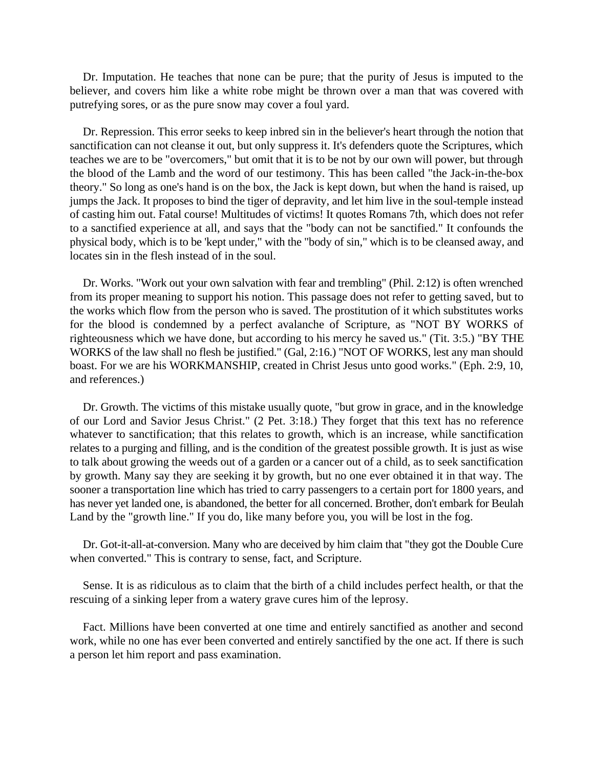Dr. Imputation. He teaches that none can be pure; that the purity of Jesus is imputed to the believer, and covers him like a white robe might be thrown over a man that was covered with putrefying sores, or as the pure snow may cover a foul yard.

Dr. Repression. This error seeks to keep inbred sin in the believer's heart through the notion that sanctification can not cleanse it out, but only suppress it. It's defenders quote the Scriptures, which teaches we are to be "overcomers," but omit that it is to be not by our own will power, but through the blood of the Lamb and the word of our testimony. This has been called "the Jack-in-the-box theory." So long as one's hand is on the box, the Jack is kept down, but when the hand is raised, up jumps the Jack. It proposes to bind the tiger of depravity, and let him live in the soul-temple instead of casting him out. Fatal course! Multitudes of victims! It quotes Romans 7th, which does not refer to a sanctified experience at all, and says that the "body can not be sanctified." It confounds the physical body, which is to be 'kept under," with the "body of sin," which is to be cleansed away, and locates sin in the flesh instead of in the soul.

Dr. Works. "Work out your own salvation with fear and trembling" (Phil. 2:12) is often wrenched from its proper meaning to support his notion. This passage does not refer to getting saved, but to the works which flow from the person who is saved. The prostitution of it which substitutes works for the blood is condemned by a perfect avalanche of Scripture, as "NOT BY WORKS of righteousness which we have done, but according to his mercy he saved us." (Tit. 3:5.) "BY THE WORKS of the law shall no flesh be justified." (Gal, 2:16.) "NOT OF WORKS, lest any man should boast. For we are his WORKMANSHIP, created in Christ Jesus unto good works." (Eph. 2:9, 10, and references.)

Dr. Growth. The victims of this mistake usually quote, "but grow in grace, and in the knowledge of our Lord and Savior Jesus Christ." (2 Pet. 3:18.) They forget that this text has no reference whatever to sanctification; that this relates to growth, which is an increase, while sanctification relates to a purging and filling, and is the condition of the greatest possible growth. It is just as wise to talk about growing the weeds out of a garden or a cancer out of a child, as to seek sanctification by growth. Many say they are seeking it by growth, but no one ever obtained it in that way. The sooner a transportation line which has tried to carry passengers to a certain port for 1800 years, and has never yet landed one, is abandoned, the better for all concerned. Brother, don't embark for Beulah Land by the "growth line." If you do, like many before you, you will be lost in the fog.

Dr. Got-it-all-at-conversion. Many who are deceived by him claim that "they got the Double Cure when converted." This is contrary to sense, fact, and Scripture.

Sense. It is as ridiculous as to claim that the birth of a child includes perfect health, or that the rescuing of a sinking leper from a watery grave cures him of the leprosy.

Fact. Millions have been converted at one time and entirely sanctified as another and second work, while no one has ever been converted and entirely sanctified by the one act. If there is such a person let him report and pass examination.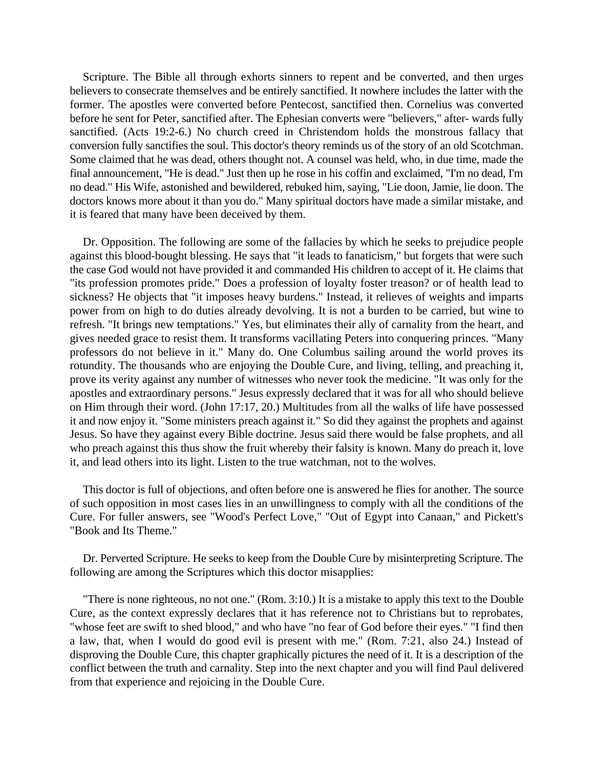Scripture. The Bible all through exhorts sinners to repent and be converted, and then urges believers to consecrate themselves and be entirely sanctified. It nowhere includes the latter with the former. The apostles were converted before Pentecost, sanctified then. Cornelius was converted before he sent for Peter, sanctified after. The Ephesian converts were "believers," after- wards fully sanctified. (Acts 19:2-6.) No church creed in Christendom holds the monstrous fallacy that conversion fully sanctifies the soul. This doctor's theory reminds us of the story of an old Scotchman. Some claimed that he was dead, others thought not. A counsel was held, who, in due time, made the final announcement, "He is dead." Just then up he rose in his coffin and exclaimed, "I'm no dead, I'm no dead." His Wife, astonished and bewildered, rebuked him, saying, "Lie doon, Jamie, lie doon. The doctors knows more about it than you do." Many spiritual doctors have made a similar mistake, and it is feared that many have been deceived by them.

Dr. Opposition. The following are some of the fallacies by which he seeks to prejudice people against this blood-bought blessing. He says that "it leads to fanaticism," but forgets that were such the case God would not have provided it and commanded His children to accept of it. He claims that "its profession promotes pride." Does a profession of loyalty foster treason? or of health lead to sickness? He objects that "it imposes heavy burdens." Instead, it relieves of weights and imparts power from on high to do duties already devolving. It is not a burden to be carried, but wine to refresh. "It brings new temptations." Yes, but eliminates their ally of carnality from the heart, and gives needed grace to resist them. It transforms vacillating Peters into conquering princes. "Many professors do not believe in it." Many do. One Columbus sailing around the world proves its rotundity. The thousands who are enjoying the Double Cure, and living, telling, and preaching it, prove its verity against any number of witnesses who never took the medicine. "It was only for the apostles and extraordinary persons." Jesus expressly declared that it was for all who should believe on Him through their word. (John 17:17, 20.) Multitudes from all the walks of life have possessed it and now enjoy it. "Some ministers preach against it." So did they against the prophets and against Jesus. So have they against every Bible doctrine. Jesus said there would be false prophets, and all who preach against this thus show the fruit whereby their falsity is known. Many do preach it, love it, and lead others into its light. Listen to the true watchman, not to the wolves.

This doctor is full of objections, and often before one is answered he flies for another. The source of such opposition in most cases lies in an unwillingness to comply with all the conditions of the Cure. For fuller answers, see "Wood's Perfect Love," "Out of Egypt into Canaan," and Pickett's "Book and Its Theme."

Dr. Perverted Scripture. He seeks to keep from the Double Cure by misinterpreting Scripture. The following are among the Scriptures which this doctor misapplies:

"There is none righteous, no not one." (Rom. 3:10.) It is a mistake to apply this text to the Double Cure, as the context expressly declares that it has reference not to Christians but to reprobates, "whose feet are swift to shed blood," and who have "no fear of God before their eyes." "I find then a law, that, when I would do good evil is present with me." (Rom. 7:21, also 24.) Instead of disproving the Double Cure, this chapter graphically pictures the need of it. It is a description of the conflict between the truth and carnality. Step into the next chapter and you will find Paul delivered from that experience and rejoicing in the Double Cure.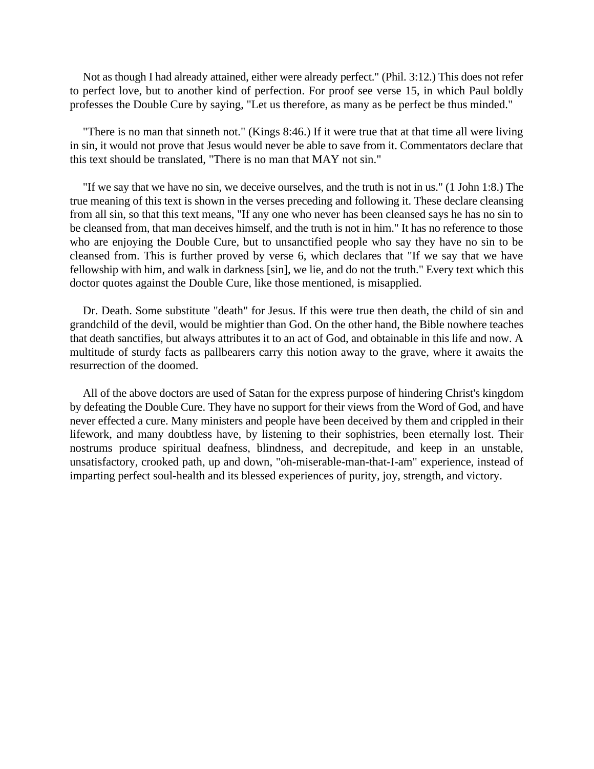Not as though I had already attained, either were already perfect." (Phil. 3:12.) This does not refer to perfect love, but to another kind of perfection. For proof see verse 15, in which Paul boldly professes the Double Cure by saying, "Let us therefore, as many as be perfect be thus minded."

"There is no man that sinneth not." (Kings 8:46.) If it were true that at that time all were living in sin, it would not prove that Jesus would never be able to save from it. Commentators declare that this text should be translated, "There is no man that MAY not sin."

"If we say that we have no sin, we deceive ourselves, and the truth is not in us." (1 John 1:8.) The true meaning of this text is shown in the verses preceding and following it. These declare cleansing from all sin, so that this text means, "If any one who never has been cleansed says he has no sin to be cleansed from, that man deceives himself, and the truth is not in him." It has no reference to those who are enjoying the Double Cure, but to unsanctified people who say they have no sin to be cleansed from. This is further proved by verse 6, which declares that "If we say that we have fellowship with him, and walk in darkness [sin], we lie, and do not the truth." Every text which this doctor quotes against the Double Cure, like those mentioned, is misapplied.

Dr. Death. Some substitute "death" for Jesus. If this were true then death, the child of sin and grandchild of the devil, would be mightier than God. On the other hand, the Bible nowhere teaches that death sanctifies, but always attributes it to an act of God, and obtainable in this life and now. A multitude of sturdy facts as pallbearers carry this notion away to the grave, where it awaits the resurrection of the doomed.

All of the above doctors are used of Satan for the express purpose of hindering Christ's kingdom by defeating the Double Cure. They have no support for their views from the Word of God, and have never effected a cure. Many ministers and people have been deceived by them and crippled in their lifework, and many doubtless have, by listening to their sophistries, been eternally lost. Their nostrums produce spiritual deafness, blindness, and decrepitude, and keep in an unstable, unsatisfactory, crooked path, up and down, "oh-miserable-man-that-I-am" experience, instead of imparting perfect soul-health and its blessed experiences of purity, joy, strength, and victory.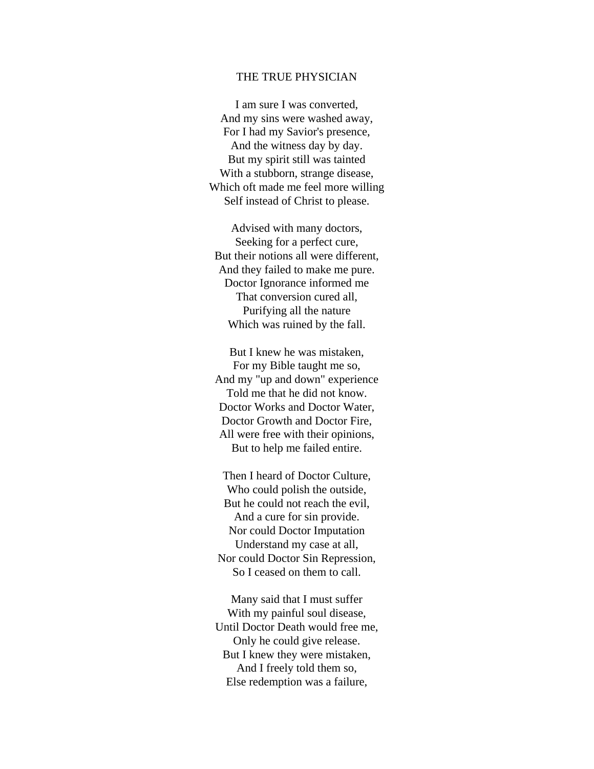#### THE TRUE PHYSICIAN

I am sure I was converted, And my sins were washed away, For I had my Savior's presence, And the witness day by day. But my spirit still was tainted With a stubborn, strange disease, Which oft made me feel more willing Self instead of Christ to please.

Advised with many doctors, Seeking for a perfect cure, But their notions all were different, And they failed to make me pure. Doctor Ignorance informed me That conversion cured all, Purifying all the nature Which was ruined by the fall.

But I knew he was mistaken, For my Bible taught me so, And my "up and down" experience Told me that he did not know. Doctor Works and Doctor Water, Doctor Growth and Doctor Fire, All were free with their opinions, But to help me failed entire.

Then I heard of Doctor Culture, Who could polish the outside, But he could not reach the evil, And a cure for sin provide. Nor could Doctor Imputation Understand my case at all, Nor could Doctor Sin Repression, So I ceased on them to call.

Many said that I must suffer With my painful soul disease, Until Doctor Death would free me, Only he could give release. But I knew they were mistaken, And I freely told them so, Else redemption was a failure,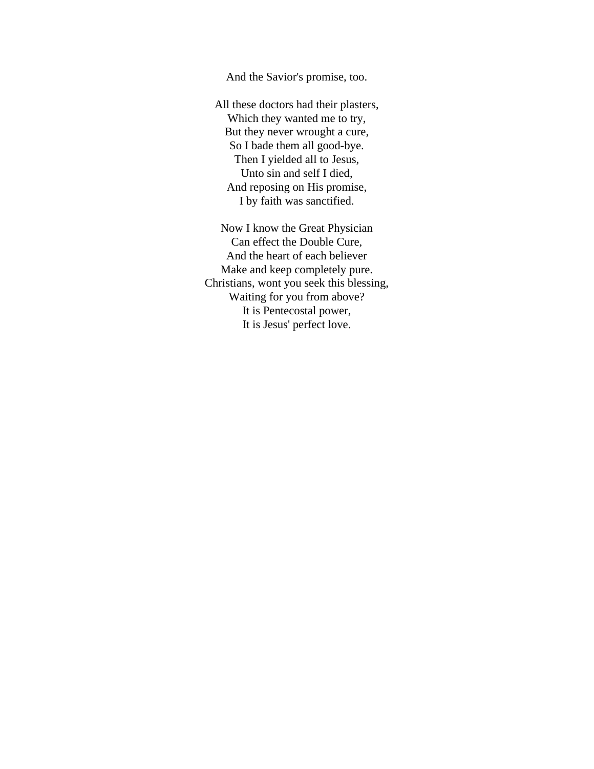And the Savior's promise, too.

All these doctors had their plasters, Which they wanted me to try, But they never wrought a cure, So I bade them all good-bye. Then I yielded all to Jesus, Unto sin and self I died, And reposing on His promise, I by faith was sanctified.

Now I know the Great Physician Can effect the Double Cure, And the heart of each believer Make and keep completely pure. Christians, wont you seek this blessing, Waiting for you from above? It is Pentecostal power, It is Jesus' perfect love.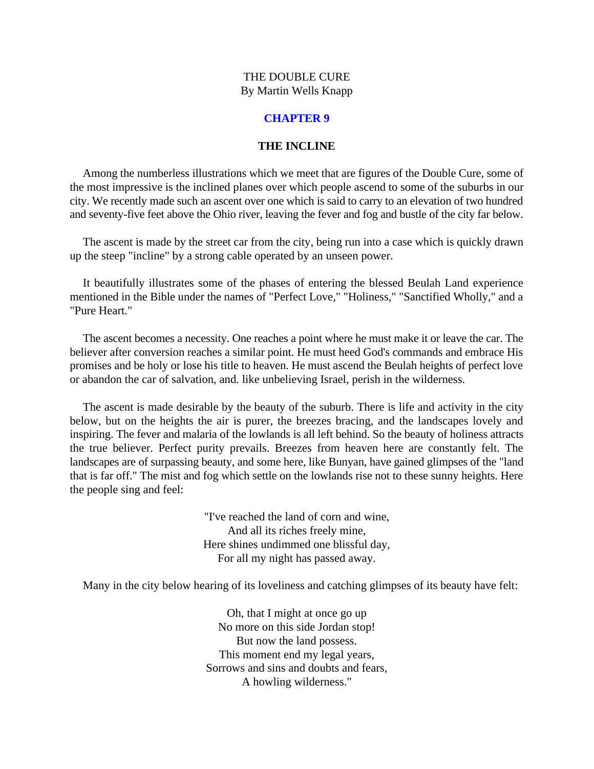## **CHAPTER 9**

# **THE INCLINE**

<span id="page-33-0"></span>Among the numberless illustrations which we meet that are figures of the Double Cure, some of the most impressive is the inclined planes over which people ascend to some of the suburbs in our city. We recently made such an ascent over one which is said to carry to an elevation of two hundred and seventy-five feet above the Ohio river, leaving the fever and fog and bustle of the city far below.

The ascent is made by the street car from the city, being run into a case which is quickly drawn up the steep "incline" by a strong cable operated by an unseen power.

It beautifully illustrates some of the phases of entering the blessed Beulah Land experience mentioned in the Bible under the names of "Perfect Love," "Holiness," "Sanctified Wholly," and a "Pure Heart."

The ascent becomes a necessity. One reaches a point where he must make it or leave the car. The believer after conversion reaches a similar point. He must heed God's commands and embrace His promises and be holy or lose his title to heaven. He must ascend the Beulah heights of perfect love or abandon the car of salvation, and. like unbelieving Israel, perish in the wilderness.

The ascent is made desirable by the beauty of the suburb. There is life and activity in the city below, but on the heights the air is purer, the breezes bracing, and the landscapes lovely and inspiring. The fever and malaria of the lowlands is all left behind. So the beauty of holiness attracts the true believer. Perfect purity prevails. Breezes from heaven here are constantly felt. The landscapes are of surpassing beauty, and some here, like Bunyan, have gained glimpses of the "land that is far off." The mist and fog which settle on the lowlands rise not to these sunny heights. Here the people sing and feel:

> "I've reached the land of corn and wine, And all its riches freely mine, Here shines undimmed one blissful day, For all my night has passed away.

Many in the city below hearing of its loveliness and catching glimpses of its beauty have felt:

Oh, that I might at once go up No more on this side Jordan stop! But now the land possess. This moment end my legal years, Sorrows and sins and doubts and fears, A howling wilderness."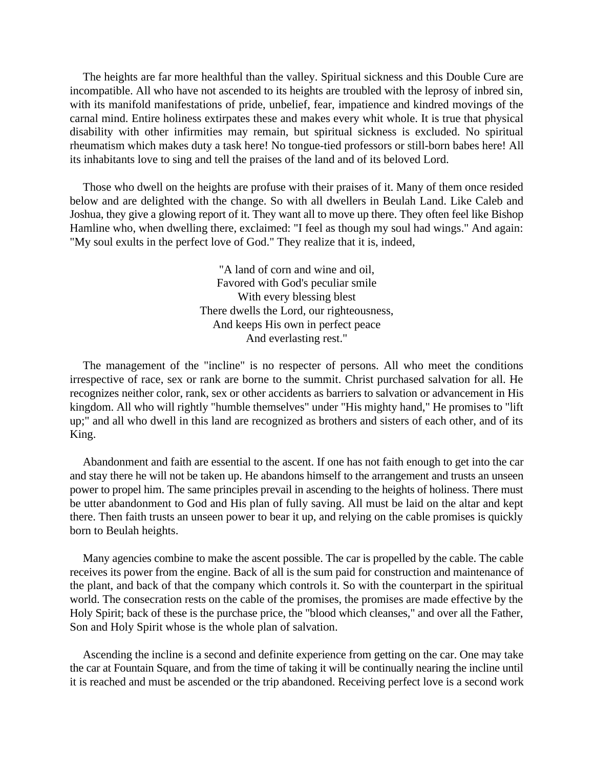The heights are far more healthful than the valley. Spiritual sickness and this Double Cure are incompatible. All who have not ascended to its heights are troubled with the leprosy of inbred sin, with its manifold manifestations of pride, unbelief, fear, impatience and kindred movings of the carnal mind. Entire holiness extirpates these and makes every whit whole. It is true that physical disability with other infirmities may remain, but spiritual sickness is excluded. No spiritual rheumatism which makes duty a task here! No tongue-tied professors or still-born babes here! All its inhabitants love to sing and tell the praises of the land and of its beloved Lord.

Those who dwell on the heights are profuse with their praises of it. Many of them once resided below and are delighted with the change. So with all dwellers in Beulah Land. Like Caleb and Joshua, they give a glowing report of it. They want all to move up there. They often feel like Bishop Hamline who, when dwelling there, exclaimed: "I feel as though my soul had wings." And again: "My soul exults in the perfect love of God." They realize that it is, indeed,

> "A land of corn and wine and oil, Favored with God's peculiar smile With every blessing blest There dwells the Lord, our righteousness, And keeps His own in perfect peace And everlasting rest."

The management of the "incline" is no respecter of persons. All who meet the conditions irrespective of race, sex or rank are borne to the summit. Christ purchased salvation for all. He recognizes neither color, rank, sex or other accidents as barriers to salvation or advancement in His kingdom. All who will rightly "humble themselves" under "His mighty hand," He promises to "lift up;" and all who dwell in this land are recognized as brothers and sisters of each other, and of its King.

Abandonment and faith are essential to the ascent. If one has not faith enough to get into the car and stay there he will not be taken up. He abandons himself to the arrangement and trusts an unseen power to propel him. The same principles prevail in ascending to the heights of holiness. There must be utter abandonment to God and His plan of fully saving. All must be laid on the altar and kept there. Then faith trusts an unseen power to bear it up, and relying on the cable promises is quickly born to Beulah heights.

Many agencies combine to make the ascent possible. The car is propelled by the cable. The cable receives its power from the engine. Back of all is the sum paid for construction and maintenance of the plant, and back of that the company which controls it. So with the counterpart in the spiritual world. The consecration rests on the cable of the promises, the promises are made effective by the Holy Spirit; back of these is the purchase price, the "blood which cleanses," and over all the Father, Son and Holy Spirit whose is the whole plan of salvation.

Ascending the incline is a second and definite experience from getting on the car. One may take the car at Fountain Square, and from the time of taking it will be continually nearing the incline until it is reached and must be ascended or the trip abandoned. Receiving perfect love is a second work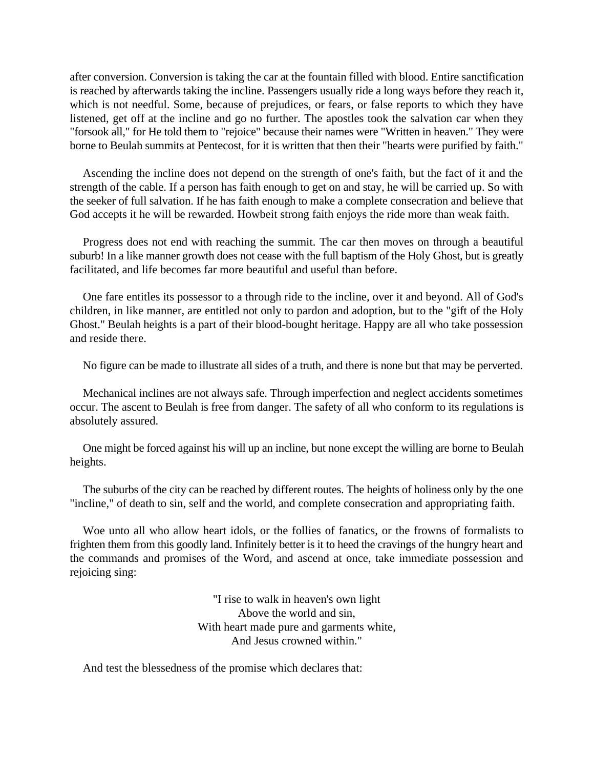after conversion. Conversion is taking the car at the fountain filled with blood. Entire sanctification is reached by afterwards taking the incline. Passengers usually ride a long ways before they reach it, which is not needful. Some, because of prejudices, or fears, or false reports to which they have listened, get off at the incline and go no further. The apostles took the salvation car when they "forsook all," for He told them to "rejoice" because their names were "Written in heaven." They were borne to Beulah summits at Pentecost, for it is written that then their "hearts were purified by faith."

Ascending the incline does not depend on the strength of one's faith, but the fact of it and the strength of the cable. If a person has faith enough to get on and stay, he will be carried up. So with the seeker of full salvation. If he has faith enough to make a complete consecration and believe that God accepts it he will be rewarded. Howbeit strong faith enjoys the ride more than weak faith.

Progress does not end with reaching the summit. The car then moves on through a beautiful suburb! In a like manner growth does not cease with the full baptism of the Holy Ghost, but is greatly facilitated, and life becomes far more beautiful and useful than before.

One fare entitles its possessor to a through ride to the incline, over it and beyond. All of God's children, in like manner, are entitled not only to pardon and adoption, but to the "gift of the Holy Ghost." Beulah heights is a part of their blood-bought heritage. Happy are all who take possession and reside there.

No figure can be made to illustrate all sides of a truth, and there is none but that may be perverted.

Mechanical inclines are not always safe. Through imperfection and neglect accidents sometimes occur. The ascent to Beulah is free from danger. The safety of all who conform to its regulations is absolutely assured.

One might be forced against his will up an incline, but none except the willing are borne to Beulah heights.

The suburbs of the city can be reached by different routes. The heights of holiness only by the one "incline," of death to sin, self and the world, and complete consecration and appropriating faith.

Woe unto all who allow heart idols, or the follies of fanatics, or the frowns of formalists to frighten them from this goodly land. Infinitely better is it to heed the cravings of the hungry heart and the commands and promises of the Word, and ascend at once, take immediate possession and rejoicing sing:

> "I rise to walk in heaven's own light Above the world and sin, With heart made pure and garments white, And Jesus crowned within."

And test the blessedness of the promise which declares that: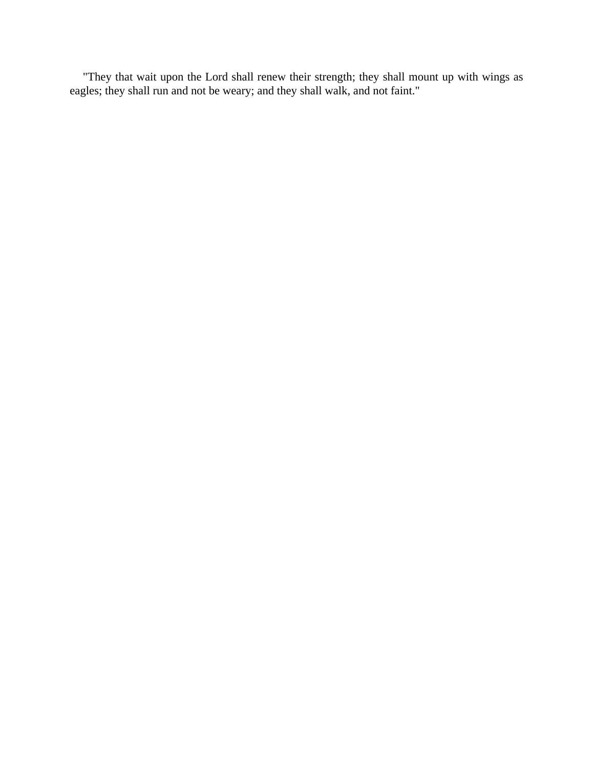"They that wait upon the Lord shall renew their strength; they shall mount up with wings as eagles; they shall run and not be weary; and they shall walk, and not faint."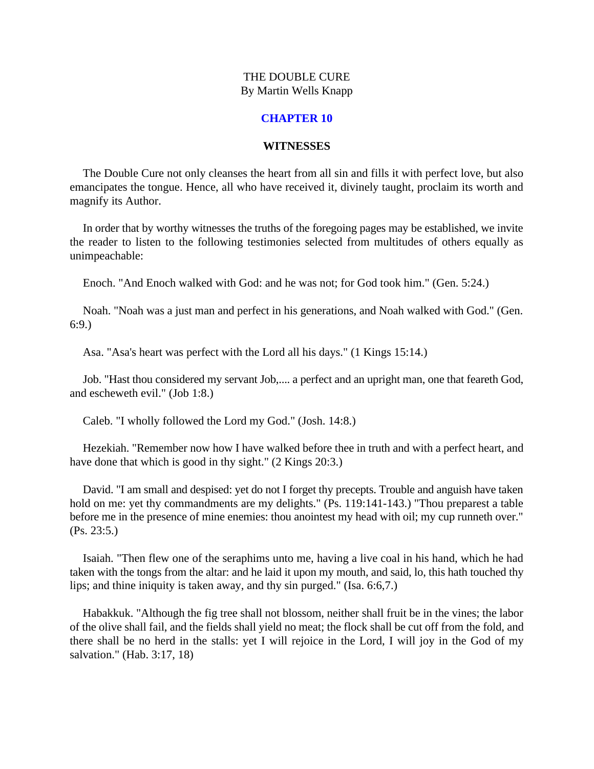#### **CHAPTER 10**

#### **WITNESSES**

<span id="page-37-0"></span>The Double Cure not only cleanses the heart from all sin and fills it with perfect love, but also emancipates the tongue. Hence, all who have received it, divinely taught, proclaim its worth and magnify its Author.

In order that by worthy witnesses the truths of the foregoing pages may be established, we invite the reader to listen to the following testimonies selected from multitudes of others equally as unimpeachable:

Enoch. "And Enoch walked with God: and he was not; for God took him." (Gen. 5:24.)

Noah. "Noah was a just man and perfect in his generations, and Noah walked with God." (Gen. 6:9.)

Asa. "Asa's heart was perfect with the Lord all his days." (1 Kings 15:14.)

Job. "Hast thou considered my servant Job,.... a perfect and an upright man, one that feareth God, and escheweth evil." (Job 1:8.)

Caleb. "I wholly followed the Lord my God." (Josh. 14:8.)

Hezekiah. "Remember now how I have walked before thee in truth and with a perfect heart, and have done that which is good in thy sight." (2 Kings 20:3.)

David. "I am small and despised: yet do not I forget thy precepts. Trouble and anguish have taken hold on me: yet thy commandments are my delights." (Ps. 119:141-143.) "Thou preparest a table before me in the presence of mine enemies: thou anointest my head with oil; my cup runneth over." (Ps. 23:5.)

Isaiah. "Then flew one of the seraphims unto me, having a live coal in his hand, which he had taken with the tongs from the altar: and he laid it upon my mouth, and said, lo, this hath touched thy lips; and thine iniquity is taken away, and thy sin purged." (Isa. 6:6,7.)

Habakkuk. "Although the fig tree shall not blossom, neither shall fruit be in the vines; the labor of the olive shall fail, and the fields shall yield no meat; the flock shall be cut off from the fold, and there shall be no herd in the stalls: yet I will rejoice in the Lord, I will joy in the God of my salvation." (Hab. 3:17, 18)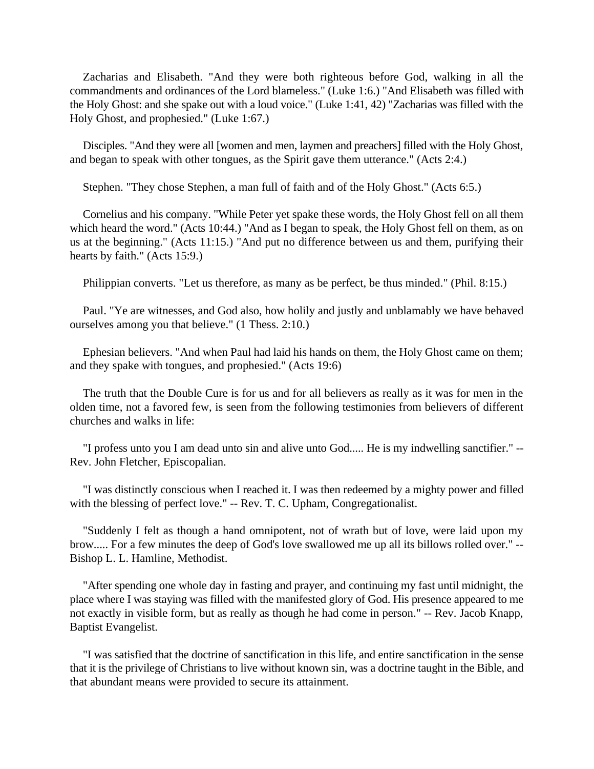Zacharias and Elisabeth. "And they were both righteous before God, walking in all the commandments and ordinances of the Lord blameless." (Luke 1:6.) "And Elisabeth was filled with the Holy Ghost: and she spake out with a loud voice." (Luke 1:41, 42) "Zacharias was filled with the Holy Ghost, and prophesied." (Luke 1:67.)

Disciples. "And they were all [women and men, laymen and preachers] filled with the Holy Ghost, and began to speak with other tongues, as the Spirit gave them utterance." (Acts 2:4.)

Stephen. "They chose Stephen, a man full of faith and of the Holy Ghost." (Acts 6:5.)

Cornelius and his company. "While Peter yet spake these words, the Holy Ghost fell on all them which heard the word." (Acts 10:44.) "And as I began to speak, the Holy Ghost fell on them, as on us at the beginning." (Acts 11:15.) "And put no difference between us and them, purifying their hearts by faith." (Acts 15:9.)

Philippian converts. "Let us therefore, as many as be perfect, be thus minded." (Phil. 8:15.)

Paul. "Ye are witnesses, and God also, how holily and justly and unblamably we have behaved ourselves among you that believe." (1 Thess. 2:10.)

Ephesian believers. "And when Paul had laid his hands on them, the Holy Ghost came on them; and they spake with tongues, and prophesied." (Acts 19:6)

The truth that the Double Cure is for us and for all believers as really as it was for men in the olden time, not a favored few, is seen from the following testimonies from believers of different churches and walks in life:

"I profess unto you I am dead unto sin and alive unto God..... He is my indwelling sanctifier." -- Rev. John Fletcher, Episcopalian.

"I was distinctly conscious when I reached it. I was then redeemed by a mighty power and filled with the blessing of perfect love." -- Rev. T. C. Upham, Congregationalist.

"Suddenly I felt as though a hand omnipotent, not of wrath but of love, were laid upon my brow..... For a few minutes the deep of God's love swallowed me up all its billows rolled over." -- Bishop L. L. Hamline, Methodist.

"After spending one whole day in fasting and prayer, and continuing my fast until midnight, the place where I was staying was filled with the manifested glory of God. His presence appeared to me not exactly in visible form, but as really as though he had come in person." -- Rev. Jacob Knapp, Baptist Evangelist.

"I was satisfied that the doctrine of sanctification in this life, and entire sanctification in the sense that it is the privilege of Christians to live without known sin, was a doctrine taught in the Bible, and that abundant means were provided to secure its attainment.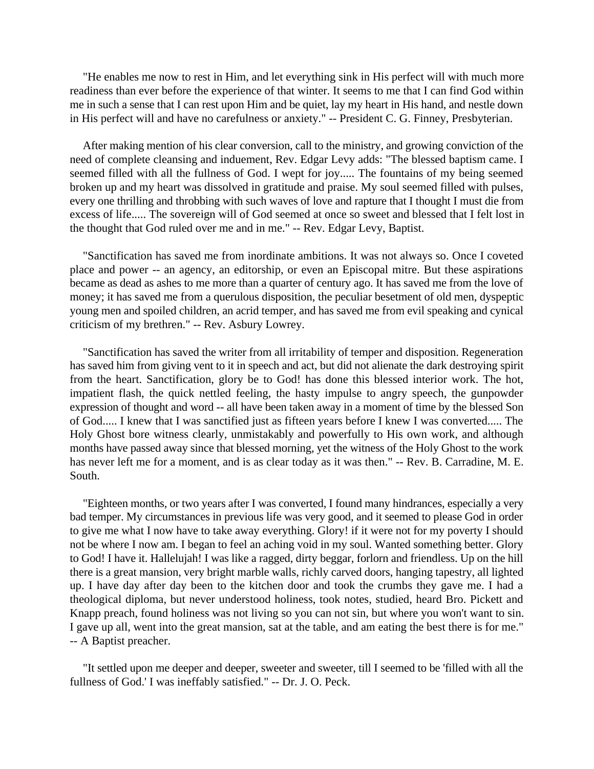"He enables me now to rest in Him, and let everything sink in His perfect will with much more readiness than ever before the experience of that winter. It seems to me that I can find God within me in such a sense that I can rest upon Him and be quiet, lay my heart in His hand, and nestle down in His perfect will and have no carefulness or anxiety." -- President C. G. Finney, Presbyterian.

After making mention of his clear conversion, call to the ministry, and growing conviction of the need of complete cleansing and induement, Rev. Edgar Levy adds: "The blessed baptism came. I seemed filled with all the fullness of God. I wept for joy..... The fountains of my being seemed broken up and my heart was dissolved in gratitude and praise. My soul seemed filled with pulses, every one thrilling and throbbing with such waves of love and rapture that I thought I must die from excess of life..... The sovereign will of God seemed at once so sweet and blessed that I felt lost in the thought that God ruled over me and in me." -- Rev. Edgar Levy, Baptist.

"Sanctification has saved me from inordinate ambitions. It was not always so. Once I coveted place and power -- an agency, an editorship, or even an Episcopal mitre. But these aspirations became as dead as ashes to me more than a quarter of century ago. It has saved me from the love of money; it has saved me from a querulous disposition, the peculiar besetment of old men, dyspeptic young men and spoiled children, an acrid temper, and has saved me from evil speaking and cynical criticism of my brethren." -- Rev. Asbury Lowrey.

"Sanctification has saved the writer from all irritability of temper and disposition. Regeneration has saved him from giving vent to it in speech and act, but did not alienate the dark destroying spirit from the heart. Sanctification, glory be to God! has done this blessed interior work. The hot, impatient flash, the quick nettled feeling, the hasty impulse to angry speech, the gunpowder expression of thought and word -- all have been taken away in a moment of time by the blessed Son of God..... I knew that I was sanctified just as fifteen years before I knew I was converted..... The Holy Ghost bore witness clearly, unmistakably and powerfully to His own work, and although months have passed away since that blessed morning, yet the witness of the Holy Ghost to the work has never left me for a moment, and is as clear today as it was then." -- Rev. B. Carradine, M. E. South.

"Eighteen months, or two years after I was converted, I found many hindrances, especially a very bad temper. My circumstances in previous life was very good, and it seemed to please God in order to give me what I now have to take away everything. Glory! if it were not for my poverty I should not be where I now am. I began to feel an aching void in my soul. Wanted something better. Glory to God! I have it. Hallelujah! I was like a ragged, dirty beggar, forlorn and friendless. Up on the hill there is a great mansion, very bright marble walls, richly carved doors, hanging tapestry, all lighted up. I have day after day been to the kitchen door and took the crumbs they gave me. I had a theological diploma, but never understood holiness, took notes, studied, heard Bro. Pickett and Knapp preach, found holiness was not living so you can not sin, but where you won't want to sin. I gave up all, went into the great mansion, sat at the table, and am eating the best there is for me." -- A Baptist preacher.

"It settled upon me deeper and deeper, sweeter and sweeter, till I seemed to be 'filled with all the fullness of God.' I was ineffably satisfied." -- Dr. J. O. Peck.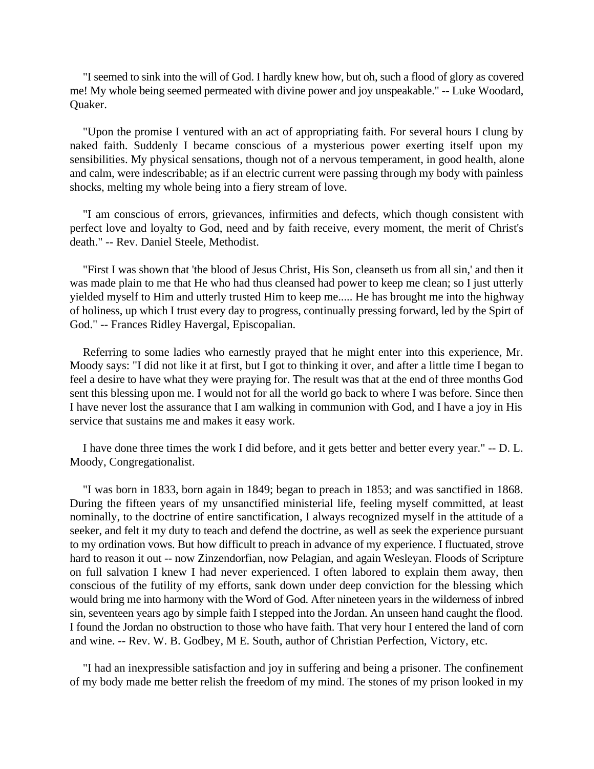"I seemed to sink into the will of God. I hardly knew how, but oh, such a flood of glory as covered me! My whole being seemed permeated with divine power and joy unspeakable." -- Luke Woodard, Quaker.

"Upon the promise I ventured with an act of appropriating faith. For several hours I clung by naked faith. Suddenly I became conscious of a mysterious power exerting itself upon my sensibilities. My physical sensations, though not of a nervous temperament, in good health, alone and calm, were indescribable; as if an electric current were passing through my body with painless shocks, melting my whole being into a fiery stream of love.

"I am conscious of errors, grievances, infirmities and defects, which though consistent with perfect love and loyalty to God, need and by faith receive, every moment, the merit of Christ's death." -- Rev. Daniel Steele, Methodist.

"First I was shown that 'the blood of Jesus Christ, His Son, cleanseth us from all sin,' and then it was made plain to me that He who had thus cleansed had power to keep me clean; so I just utterly yielded myself to Him and utterly trusted Him to keep me..... He has brought me into the highway of holiness, up which I trust every day to progress, continually pressing forward, led by the Spirt of God." -- Frances Ridley Havergal, Episcopalian.

Referring to some ladies who earnestly prayed that he might enter into this experience, Mr. Moody says: "I did not like it at first, but I got to thinking it over, and after a little time I began to feel a desire to have what they were praying for. The result was that at the end of three months God sent this blessing upon me. I would not for all the world go back to where I was before. Since then I have never lost the assurance that I am walking in communion with God, and I have a joy in His service that sustains me and makes it easy work.

I have done three times the work I did before, and it gets better and better every year." -- D. L. Moody, Congregationalist.

"I was born in 1833, born again in 1849; began to preach in 1853; and was sanctified in 1868. During the fifteen years of my unsanctified ministerial life, feeling myself committed, at least nominally, to the doctrine of entire sanctification, I always recognized myself in the attitude of a seeker, and felt it my duty to teach and defend the doctrine, as well as seek the experience pursuant to my ordination vows. But how difficult to preach in advance of my experience. I fluctuated, strove hard to reason it out -- now Zinzendorfian, now Pelagian, and again Wesleyan. Floods of Scripture on full salvation I knew I had never experienced. I often labored to explain them away, then conscious of the futility of my efforts, sank down under deep conviction for the blessing which would bring me into harmony with the Word of God. After nineteen years in the wilderness of inbred sin, seventeen years ago by simple faith I stepped into the Jordan. An unseen hand caught the flood. I found the Jordan no obstruction to those who have faith. That very hour I entered the land of corn and wine. -- Rev. W. B. Godbey, M E. South, author of Christian Perfection, Victory, etc.

"I had an inexpressible satisfaction and joy in suffering and being a prisoner. The confinement of my body made me better relish the freedom of my mind. The stones of my prison looked in my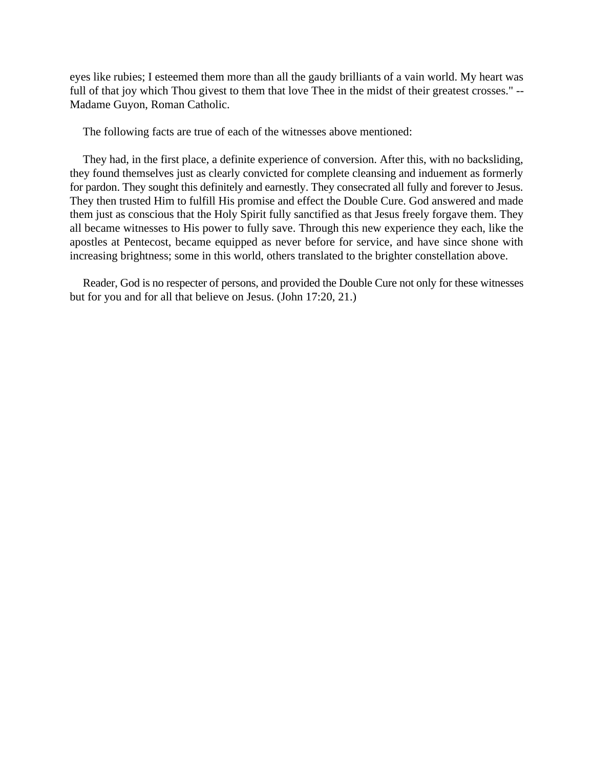eyes like rubies; I esteemed them more than all the gaudy brilliants of a vain world. My heart was full of that joy which Thou givest to them that love Thee in the midst of their greatest crosses." -- Madame Guyon, Roman Catholic.

The following facts are true of each of the witnesses above mentioned:

They had, in the first place, a definite experience of conversion. After this, with no backsliding, they found themselves just as clearly convicted for complete cleansing and induement as formerly for pardon. They sought this definitely and earnestly. They consecrated all fully and forever to Jesus. They then trusted Him to fulfill His promise and effect the Double Cure. God answered and made them just as conscious that the Holy Spirit fully sanctified as that Jesus freely forgave them. They all became witnesses to His power to fully save. Through this new experience they each, like the apostles at Pentecost, became equipped as never before for service, and have since shone with increasing brightness; some in this world, others translated to the brighter constellation above.

Reader, God is no respecter of persons, and provided the Double Cure not only for these witnesses but for you and for all that believe on Jesus. (John 17:20, 21.)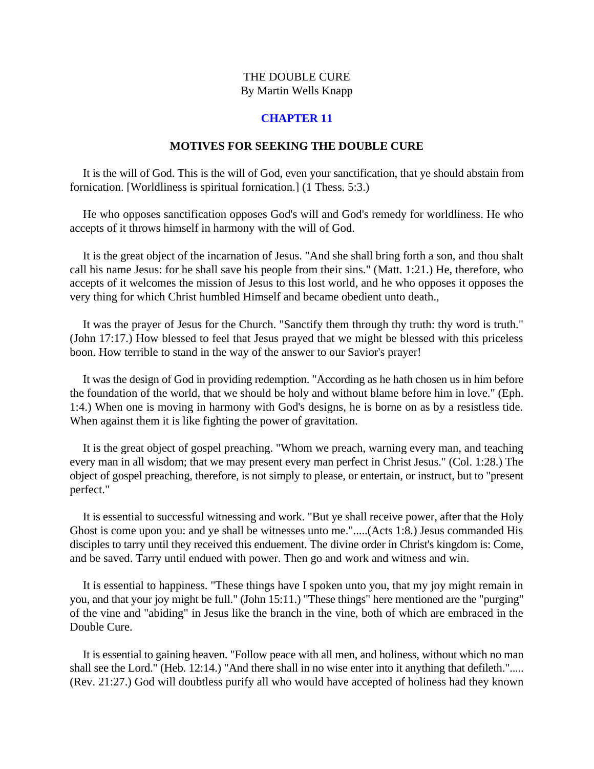# **CHAPTER 11**

#### **MOTIVES FOR SEEKING THE DOUBLE CURE**

<span id="page-42-0"></span>It is the will of God. This is the will of God, even your sanctification, that ye should abstain from fornication. [Worldliness is spiritual fornication.] (1 Thess. 5:3.)

He who opposes sanctification opposes God's will and God's remedy for worldliness. He who accepts of it throws himself in harmony with the will of God.

It is the great object of the incarnation of Jesus. "And she shall bring forth a son, and thou shalt call his name Jesus: for he shall save his people from their sins." (Matt. 1:21.) He, therefore, who accepts of it welcomes the mission of Jesus to this lost world, and he who opposes it opposes the very thing for which Christ humbled Himself and became obedient unto death.,

It was the prayer of Jesus for the Church. "Sanctify them through thy truth: thy word is truth." (John 17:17.) How blessed to feel that Jesus prayed that we might be blessed with this priceless boon. How terrible to stand in the way of the answer to our Savior's prayer!

It was the design of God in providing redemption. "According as he hath chosen us in him before the foundation of the world, that we should be holy and without blame before him in love." (Eph. 1:4.) When one is moving in harmony with God's designs, he is borne on as by a resistless tide. When against them it is like fighting the power of gravitation.

It is the great object of gospel preaching. "Whom we preach, warning every man, and teaching every man in all wisdom; that we may present every man perfect in Christ Jesus." (Col. 1:28.) The object of gospel preaching, therefore, is not simply to please, or entertain, or instruct, but to "present perfect."

It is essential to successful witnessing and work. "But ye shall receive power, after that the Holy Ghost is come upon you: and ye shall be witnesses unto me.".....(Acts 1:8.) Jesus commanded His disciples to tarry until they received this enduement. The divine order in Christ's kingdom is: Come, and be saved. Tarry until endued with power. Then go and work and witness and win.

It is essential to happiness. "These things have I spoken unto you, that my joy might remain in you, and that your joy might be full." (John 15:11.) "These things" here mentioned are the "purging" of the vine and "abiding" in Jesus like the branch in the vine, both of which are embraced in the Double Cure.

It is essential to gaining heaven. "Follow peace with all men, and holiness, without which no man shall see the Lord." (Heb. 12:14.) "And there shall in no wise enter into it anything that defileth."..... (Rev. 21:27.) God will doubtless purify all who would have accepted of holiness had they known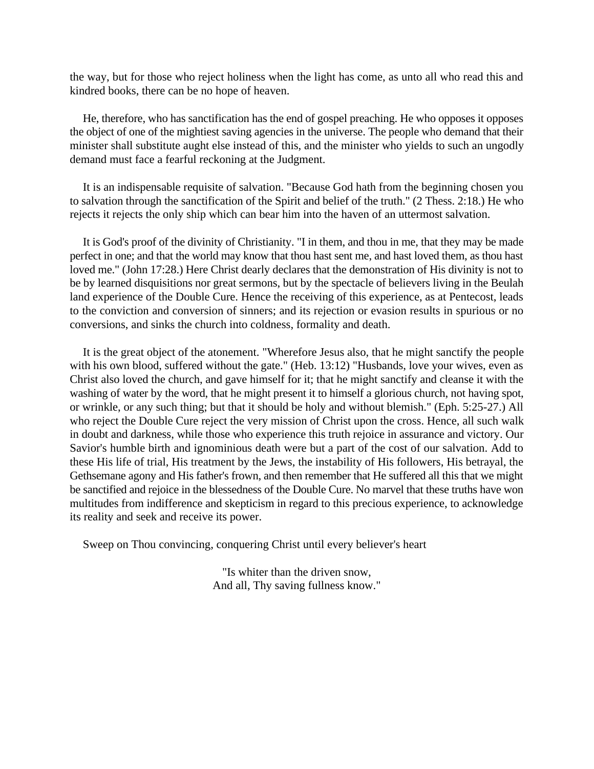the way, but for those who reject holiness when the light has come, as unto all who read this and kindred books, there can be no hope of heaven.

He, therefore, who has sanctification has the end of gospel preaching. He who opposes it opposes the object of one of the mightiest saving agencies in the universe. The people who demand that their minister shall substitute aught else instead of this, and the minister who yields to such an ungodly demand must face a fearful reckoning at the Judgment.

It is an indispensable requisite of salvation. "Because God hath from the beginning chosen you to salvation through the sanctification of the Spirit and belief of the truth." (2 Thess. 2:18.) He who rejects it rejects the only ship which can bear him into the haven of an uttermost salvation.

It is God's proof of the divinity of Christianity. "I in them, and thou in me, that they may be made perfect in one; and that the world may know that thou hast sent me, and hast loved them, as thou hast loved me." (John 17:28.) Here Christ dearly declares that the demonstration of His divinity is not to be by learned disquisitions nor great sermons, but by the spectacle of believers living in the Beulah land experience of the Double Cure. Hence the receiving of this experience, as at Pentecost, leads to the conviction and conversion of sinners; and its rejection or evasion results in spurious or no conversions, and sinks the church into coldness, formality and death.

It is the great object of the atonement. "Wherefore Jesus also, that he might sanctify the people with his own blood, suffered without the gate." (Heb. 13:12) "Husbands, love your wives, even as Christ also loved the church, and gave himself for it; that he might sanctify and cleanse it with the washing of water by the word, that he might present it to himself a glorious church, not having spot, or wrinkle, or any such thing; but that it should be holy and without blemish." (Eph. 5:25-27.) All who reject the Double Cure reject the very mission of Christ upon the cross. Hence, all such walk in doubt and darkness, while those who experience this truth rejoice in assurance and victory. Our Savior's humble birth and ignominious death were but a part of the cost of our salvation. Add to these His life of trial, His treatment by the Jews, the instability of His followers, His betrayal, the Gethsemane agony and His father's frown, and then remember that He suffered all this that we might be sanctified and rejoice in the blessedness of the Double Cure. No marvel that these truths have won multitudes from indifference and skepticism in regard to this precious experience, to acknowledge its reality and seek and receive its power.

Sweep on Thou convincing, conquering Christ until every believer's heart

"Is whiter than the driven snow, And all, Thy saving fullness know."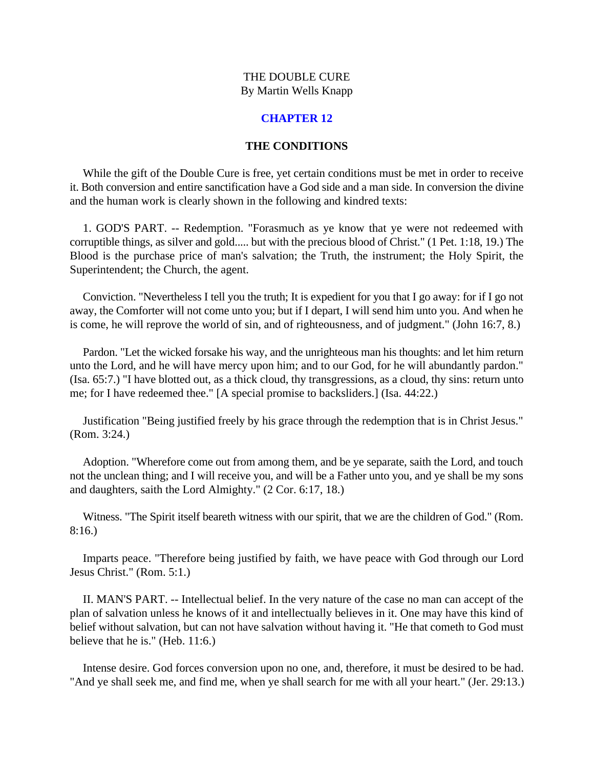# **CHAPTER 12**

## **THE CONDITIONS**

<span id="page-44-0"></span>While the gift of the Double Cure is free, yet certain conditions must be met in order to receive it. Both conversion and entire sanctification have a God side and a man side. In conversion the divine and the human work is clearly shown in the following and kindred texts:

1. GOD'S PART. -- Redemption. "Forasmuch as ye know that ye were not redeemed with corruptible things, as silver and gold..... but with the precious blood of Christ." (1 Pet. 1:18, 19.) The Blood is the purchase price of man's salvation; the Truth, the instrument; the Holy Spirit, the Superintendent; the Church, the agent.

Conviction. "Nevertheless I tell you the truth; It is expedient for you that I go away: for if I go not away, the Comforter will not come unto you; but if I depart, I will send him unto you. And when he is come, he will reprove the world of sin, and of righteousness, and of judgment." (John 16:7, 8.)

Pardon. "Let the wicked forsake his way, and the unrighteous man his thoughts: and let him return unto the Lord, and he will have mercy upon him; and to our God, for he will abundantly pardon." (Isa. 65:7.) "I have blotted out, as a thick cloud, thy transgressions, as a cloud, thy sins: return unto me; for I have redeemed thee." [A special promise to backsliders.] (Isa. 44:22.)

Justification "Being justified freely by his grace through the redemption that is in Christ Jesus." (Rom. 3:24.)

Adoption. "Wherefore come out from among them, and be ye separate, saith the Lord, and touch not the unclean thing; and I will receive you, and will be a Father unto you, and ye shall be my sons and daughters, saith the Lord Almighty." (2 Cor. 6:17, 18.)

Witness. "The Spirit itself beareth witness with our spirit, that we are the children of God." (Rom. 8:16.)

Imparts peace. "Therefore being justified by faith, we have peace with God through our Lord Jesus Christ." (Rom. 5:1.)

II. MAN'S PART. -- Intellectual belief. In the very nature of the case no man can accept of the plan of salvation unless he knows of it and intellectually believes in it. One may have this kind of belief without salvation, but can not have salvation without having it. "He that cometh to God must believe that he is." (Heb. 11:6.)

Intense desire. God forces conversion upon no one, and, therefore, it must be desired to be had. "And ye shall seek me, and find me, when ye shall search for me with all your heart." (Jer. 29:13.)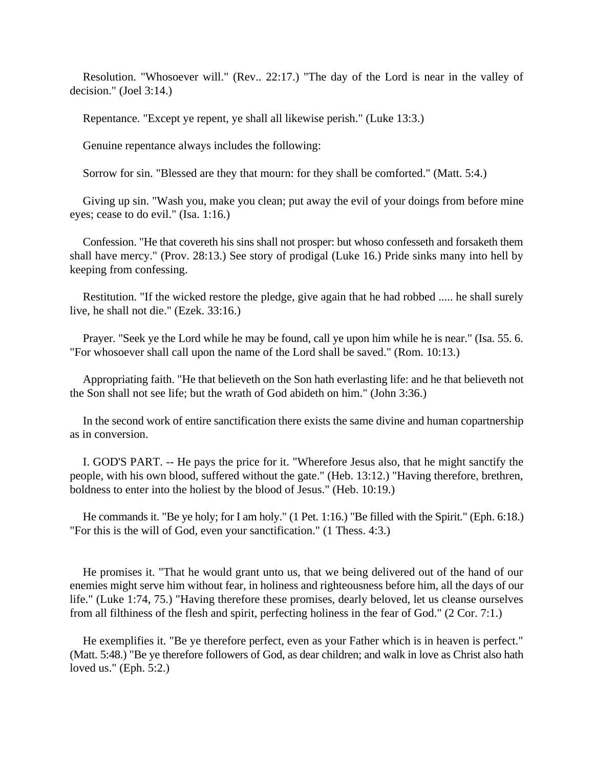Resolution. "Whosoever will." (Rev.. 22:17.) "The day of the Lord is near in the valley of decision." (Joel 3:14.)

Repentance. "Except ye repent, ye shall all likewise perish." (Luke 13:3.)

Genuine repentance always includes the following:

Sorrow for sin. "Blessed are they that mourn: for they shall be comforted." (Matt. 5:4.)

Giving up sin. "Wash you, make you clean; put away the evil of your doings from before mine eyes; cease to do evil." (Isa. 1:16.)

Confession. "He that covereth his sins shall not prosper: but whoso confesseth and forsaketh them shall have mercy." (Prov. 28:13.) See story of prodigal (Luke 16.) Pride sinks many into hell by keeping from confessing.

Restitution. "If the wicked restore the pledge, give again that he had robbed ..... he shall surely live, he shall not die." (Ezek. 33:16.)

Prayer. "Seek ye the Lord while he may be found, call ye upon him while he is near." (Isa. 55. 6. "For whosoever shall call upon the name of the Lord shall be saved." (Rom. 10:13.)

Appropriating faith. "He that believeth on the Son hath everlasting life: and he that believeth not the Son shall not see life; but the wrath of God abideth on him." (John 3:36.)

In the second work of entire sanctification there exists the same divine and human copartnership as in conversion.

I. GOD'S PART. -- He pays the price for it. "Wherefore Jesus also, that he might sanctify the people, with his own blood, suffered without the gate." (Heb. 13:12.) "Having therefore, brethren, boldness to enter into the holiest by the blood of Jesus." (Heb. 10:19.)

He commands it. "Be ye holy; for I am holy." (1 Pet. 1:16.) "Be filled with the Spirit." (Eph. 6:18.) "For this is the will of God, even your sanctification." (1 Thess. 4:3.)

He promises it. "That he would grant unto us, that we being delivered out of the hand of our enemies might serve him without fear, in holiness and righteousness before him, all the days of our life." (Luke 1:74, 75.) "Having therefore these promises, dearly beloved, let us cleanse ourselves from all filthiness of the flesh and spirit, perfecting holiness in the fear of God." (2 Cor. 7:1.)

He exemplifies it. "Be ye therefore perfect, even as your Father which is in heaven is perfect." (Matt. 5:48.) "Be ye therefore followers of God, as dear children; and walk in love as Christ also hath loved us." (Eph. 5:2.)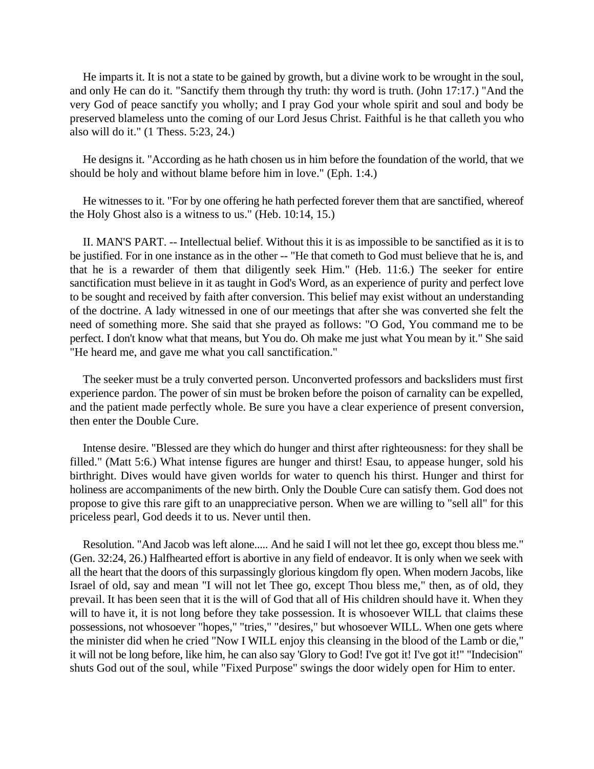He imparts it. It is not a state to be gained by growth, but a divine work to be wrought in the soul, and only He can do it. "Sanctify them through thy truth: thy word is truth. (John 17:17.) "And the very God of peace sanctify you wholly; and I pray God your whole spirit and soul and body be preserved blameless unto the coming of our Lord Jesus Christ. Faithful is he that calleth you who also will do it." (1 Thess. 5:23, 24.)

He designs it. "According as he hath chosen us in him before the foundation of the world, that we should be holy and without blame before him in love." (Eph. 1:4.)

He witnesses to it. "For by one offering he hath perfected forever them that are sanctified, whereof the Holy Ghost also is a witness to us." (Heb. 10:14, 15.)

II. MAN'S PART. -- Intellectual belief. Without this it is as impossible to be sanctified as it is to be justified. For in one instance as in the other -- "He that cometh to God must believe that he is, and that he is a rewarder of them that diligently seek Him." (Heb. 11:6.) The seeker for entire sanctification must believe in it as taught in God's Word, as an experience of purity and perfect love to be sought and received by faith after conversion. This belief may exist without an understanding of the doctrine. A lady witnessed in one of our meetings that after she was converted she felt the need of something more. She said that she prayed as follows: "O God, You command me to be perfect. I don't know what that means, but You do. Oh make me just what You mean by it." She said "He heard me, and gave me what you call sanctification."

The seeker must be a truly converted person. Unconverted professors and backsliders must first experience pardon. The power of sin must be broken before the poison of carnality can be expelled, and the patient made perfectly whole. Be sure you have a clear experience of present conversion, then enter the Double Cure.

Intense desire. "Blessed are they which do hunger and thirst after righteousness: for they shall be filled." (Matt 5:6.) What intense figures are hunger and thirst! Esau, to appease hunger, sold his birthright. Dives would have given worlds for water to quench his thirst. Hunger and thirst for holiness are accompaniments of the new birth. Only the Double Cure can satisfy them. God does not propose to give this rare gift to an unappreciative person. When we are willing to "sell all" for this priceless pearl, God deeds it to us. Never until then.

Resolution. "And Jacob was left alone..... And he said I will not let thee go, except thou bless me." (Gen. 32:24, 26.) Halfhearted effort is abortive in any field of endeavor. It is only when we seek with all the heart that the doors of this surpassingly glorious kingdom fly open. When modern Jacobs, like Israel of old, say and mean "I will not let Thee go, except Thou bless me," then, as of old, they prevail. It has been seen that it is the will of God that all of His children should have it. When they will to have it, it is not long before they take possession. It is whosoever WILL that claims these possessions, not whosoever "hopes," "tries," "desires," but whosoever WILL. When one gets where the minister did when he cried "Now I WILL enjoy this cleansing in the blood of the Lamb or die," it will not be long before, like him, he can also say 'Glory to God! I've got it! I've got it!" "Indecision" shuts God out of the soul, while "Fixed Purpose" swings the door widely open for Him to enter.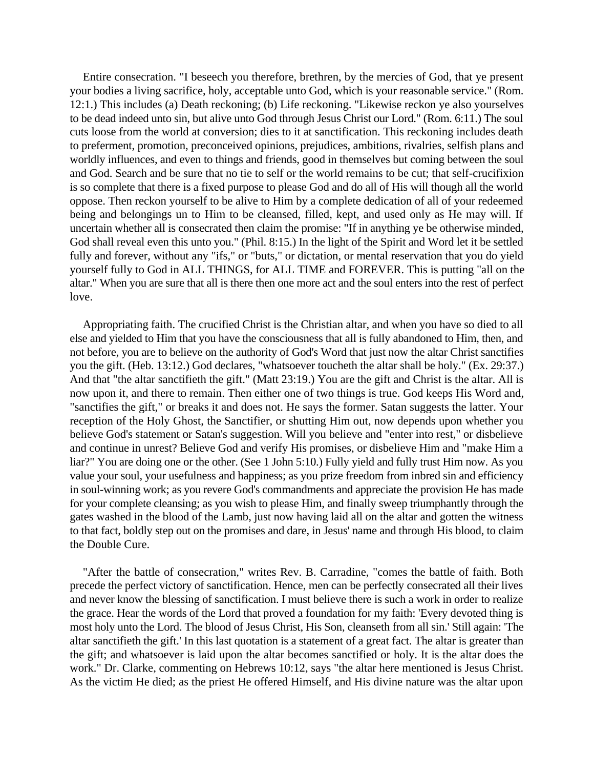Entire consecration. "I beseech you therefore, brethren, by the mercies of God, that ye present your bodies a living sacrifice, holy, acceptable unto God, which is your reasonable service." (Rom. 12:1.) This includes (a) Death reckoning; (b) Life reckoning. "Likewise reckon ye also yourselves to be dead indeed unto sin, but alive unto God through Jesus Christ our Lord." (Rom. 6:11.) The soul cuts loose from the world at conversion; dies to it at sanctification. This reckoning includes death to preferment, promotion, preconceived opinions, prejudices, ambitions, rivalries, selfish plans and worldly influences, and even to things and friends, good in themselves but coming between the soul and God. Search and be sure that no tie to self or the world remains to be cut; that self-crucifixion is so complete that there is a fixed purpose to please God and do all of His will though all the world oppose. Then reckon yourself to be alive to Him by a complete dedication of all of your redeemed being and belongings un to Him to be cleansed, filled, kept, and used only as He may will. If uncertain whether all is consecrated then claim the promise: "If in anything ye be otherwise minded, God shall reveal even this unto you." (Phil. 8:15.) In the light of the Spirit and Word let it be settled fully and forever, without any "ifs," or "buts," or dictation, or mental reservation that you do yield yourself fully to God in ALL THINGS, for ALL TIME and FOREVER. This is putting "all on the altar." When you are sure that all is there then one more act and the soul enters into the rest of perfect love.

Appropriating faith. The crucified Christ is the Christian altar, and when you have so died to all else and yielded to Him that you have the consciousness that all is fully abandoned to Him, then, and not before, you are to believe on the authority of God's Word that just now the altar Christ sanctifies you the gift. (Heb. 13:12.) God declares, "whatsoever toucheth the altar shall be holy." (Ex. 29:37.) And that "the altar sanctifieth the gift." (Matt 23:19.) You are the gift and Christ is the altar. All is now upon it, and there to remain. Then either one of two things is true. God keeps His Word and, "sanctifies the gift," or breaks it and does not. He says the former. Satan suggests the latter. Your reception of the Holy Ghost, the Sanctifier, or shutting Him out, now depends upon whether you believe God's statement or Satan's suggestion. Will you believe and "enter into rest," or disbelieve and continue in unrest? Believe God and verify His promises, or disbelieve Him and "make Him a liar?" You are doing one or the other. (See 1 John 5:10.) Fully yield and fully trust Him now. As you value your soul, your usefulness and happiness; as you prize freedom from inbred sin and efficiency in soul-winning work; as you revere God's commandments and appreciate the provision He has made for your complete cleansing; as you wish to please Him, and finally sweep triumphantly through the gates washed in the blood of the Lamb, just now having laid all on the altar and gotten the witness to that fact, boldly step out on the promises and dare, in Jesus' name and through His blood, to claim the Double Cure.

"After the battle of consecration," writes Rev. B. Carradine, "comes the battle of faith. Both precede the perfect victory of sanctification. Hence, men can be perfectly consecrated all their lives and never know the blessing of sanctification. I must believe there is such a work in order to realize the grace. Hear the words of the Lord that proved a foundation for my faith: 'Every devoted thing is most holy unto the Lord. The blood of Jesus Christ, His Son, cleanseth from all sin.' Still again: 'The altar sanctifieth the gift.' In this last quotation is a statement of a great fact. The altar is greater than the gift; and whatsoever is laid upon the altar becomes sanctified or holy. It is the altar does the work." Dr. Clarke, commenting on Hebrews 10:12, says "the altar here mentioned is Jesus Christ. As the victim He died; as the priest He offered Himself, and His divine nature was the altar upon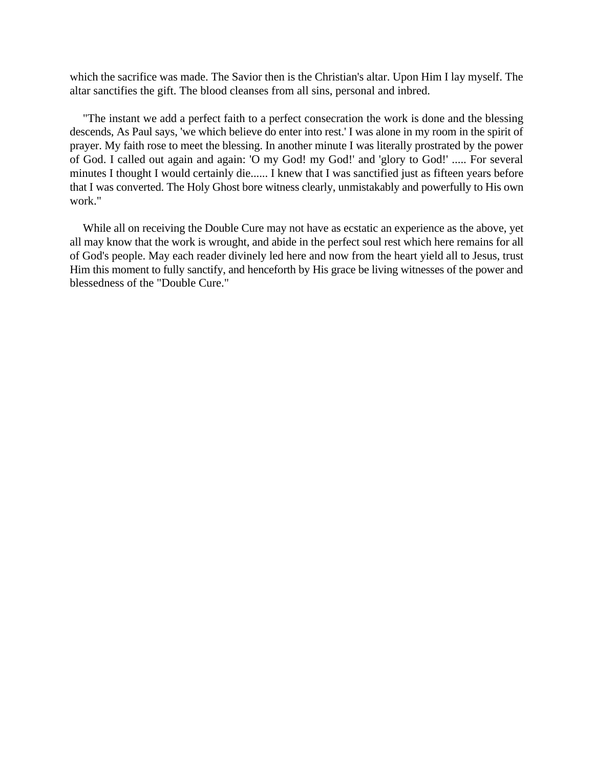which the sacrifice was made. The Savior then is the Christian's altar. Upon Him I lay myself. The altar sanctifies the gift. The blood cleanses from all sins, personal and inbred.

"The instant we add a perfect faith to a perfect consecration the work is done and the blessing descends, As Paul says, 'we which believe do enter into rest.' I was alone in my room in the spirit of prayer. My faith rose to meet the blessing. In another minute I was literally prostrated by the power of God. I called out again and again: 'O my God! my God!' and 'glory to God!' ..... For several minutes I thought I would certainly die...... I knew that I was sanctified just as fifteen years before that I was converted. The Holy Ghost bore witness clearly, unmistakably and powerfully to His own work."

While all on receiving the Double Cure may not have as ecstatic an experience as the above, yet all may know that the work is wrought, and abide in the perfect soul rest which here remains for all of God's people. May each reader divinely led here and now from the heart yield all to Jesus, trust Him this moment to fully sanctify, and henceforth by His grace be living witnesses of the power and blessedness of the "Double Cure."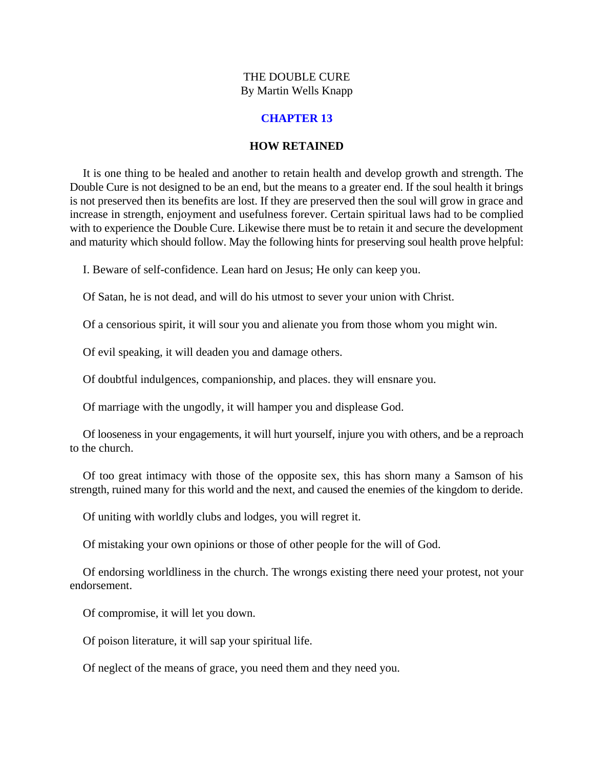# **CHAPTER 13**

#### **HOW RETAINED**

<span id="page-49-0"></span>It is one thing to be healed and another to retain health and develop growth and strength. The Double Cure is not designed to be an end, but the means to a greater end. If the soul health it brings is not preserved then its benefits are lost. If they are preserved then the soul will grow in grace and increase in strength, enjoyment and usefulness forever. Certain spiritual laws had to be complied with to experience the Double Cure. Likewise there must be to retain it and secure the development and maturity which should follow. May the following hints for preserving soul health prove helpful:

I. Beware of self-confidence. Lean hard on Jesus; He only can keep you.

Of Satan, he is not dead, and will do his utmost to sever your union with Christ.

Of a censorious spirit, it will sour you and alienate you from those whom you might win.

Of evil speaking, it will deaden you and damage others.

Of doubtful indulgences, companionship, and places. they will ensnare you.

Of marriage with the ungodly, it will hamper you and displease God.

Of looseness in your engagements, it will hurt yourself, injure you with others, and be a reproach to the church.

Of too great intimacy with those of the opposite sex, this has shorn many a Samson of his strength, ruined many for this world and the next, and caused the enemies of the kingdom to deride.

Of uniting with worldly clubs and lodges, you will regret it.

Of mistaking your own opinions or those of other people for the will of God.

Of endorsing worldliness in the church. The wrongs existing there need your protest, not your endorsement.

Of compromise, it will let you down.

Of poison literature, it will sap your spiritual life.

Of neglect of the means of grace, you need them and they need you.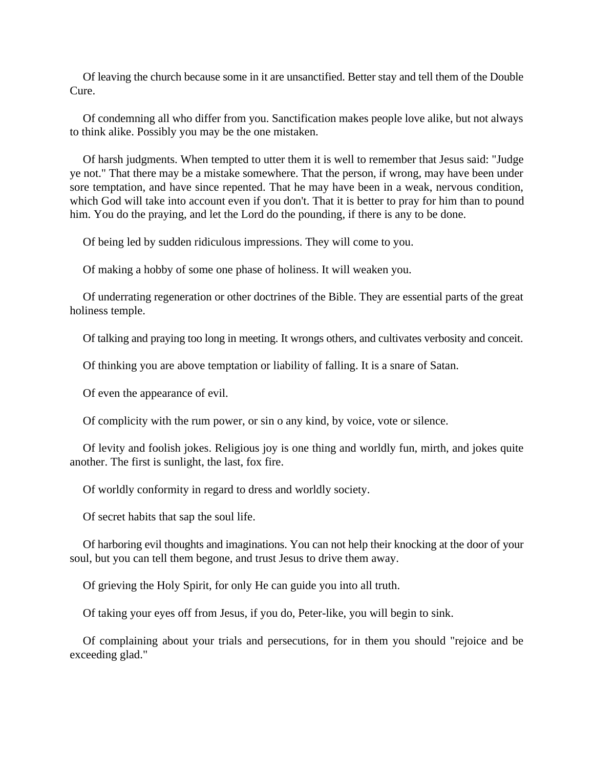Of leaving the church because some in it are unsanctified. Better stay and tell them of the Double Cure.

Of condemning all who differ from you. Sanctification makes people love alike, but not always to think alike. Possibly you may be the one mistaken.

Of harsh judgments. When tempted to utter them it is well to remember that Jesus said: "Judge ye not." That there may be a mistake somewhere. That the person, if wrong, may have been under sore temptation, and have since repented. That he may have been in a weak, nervous condition, which God will take into account even if you don't. That it is better to pray for him than to pound him. You do the praying, and let the Lord do the pounding, if there is any to be done.

Of being led by sudden ridiculous impressions. They will come to you.

Of making a hobby of some one phase of holiness. It will weaken you.

Of underrating regeneration or other doctrines of the Bible. They are essential parts of the great holiness temple.

Of talking and praying too long in meeting. It wrongs others, and cultivates verbosity and conceit.

Of thinking you are above temptation or liability of falling. It is a snare of Satan.

Of even the appearance of evil.

Of complicity with the rum power, or sin o any kind, by voice, vote or silence.

Of levity and foolish jokes. Religious joy is one thing and worldly fun, mirth, and jokes quite another. The first is sunlight, the last, fox fire.

Of worldly conformity in regard to dress and worldly society.

Of secret habits that sap the soul life.

Of harboring evil thoughts and imaginations. You can not help their knocking at the door of your soul, but you can tell them begone, and trust Jesus to drive them away.

Of grieving the Holy Spirit, for only He can guide you into all truth.

Of taking your eyes off from Jesus, if you do, Peter-like, you will begin to sink.

Of complaining about your trials and persecutions, for in them you should "rejoice and be exceeding glad."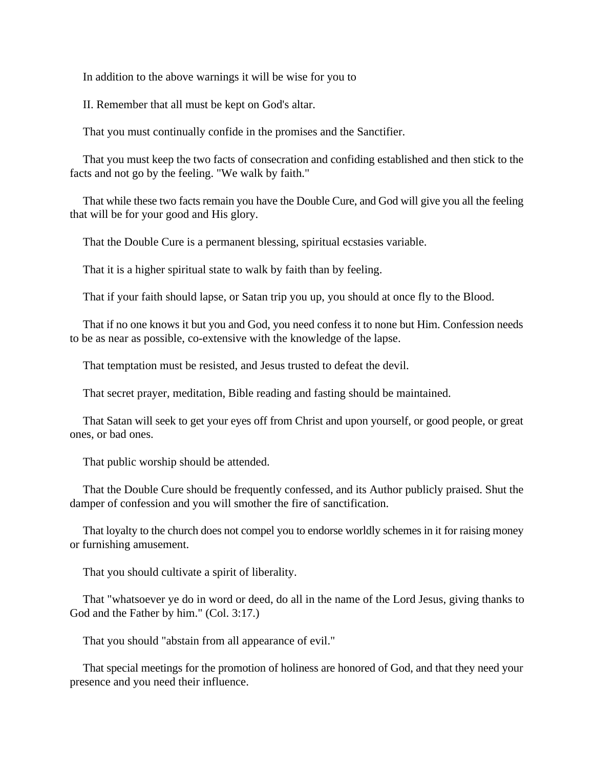In addition to the above warnings it will be wise for you to

II. Remember that all must be kept on God's altar.

That you must continually confide in the promises and the Sanctifier.

That you must keep the two facts of consecration and confiding established and then stick to the facts and not go by the feeling. "We walk by faith."

That while these two facts remain you have the Double Cure, and God will give you all the feeling that will be for your good and His glory.

That the Double Cure is a permanent blessing, spiritual ecstasies variable.

That it is a higher spiritual state to walk by faith than by feeling.

That if your faith should lapse, or Satan trip you up, you should at once fly to the Blood.

That if no one knows it but you and God, you need confess it to none but Him. Confession needs to be as near as possible, co-extensive with the knowledge of the lapse.

That temptation must be resisted, and Jesus trusted to defeat the devil.

That secret prayer, meditation, Bible reading and fasting should be maintained.

That Satan will seek to get your eyes off from Christ and upon yourself, or good people, or great ones, or bad ones.

That public worship should be attended.

That the Double Cure should be frequently confessed, and its Author publicly praised. Shut the damper of confession and you will smother the fire of sanctification.

That loyalty to the church does not compel you to endorse worldly schemes in it for raising money or furnishing amusement.

That you should cultivate a spirit of liberality.

That "whatsoever ye do in word or deed, do all in the name of the Lord Jesus, giving thanks to God and the Father by him." (Col. 3:17.)

That you should "abstain from all appearance of evil."

That special meetings for the promotion of holiness are honored of God, and that they need your presence and you need their influence.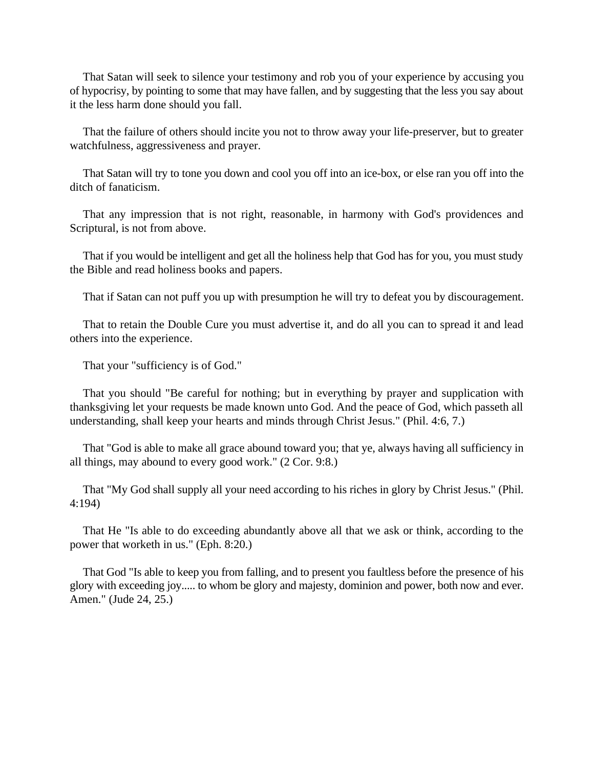That Satan will seek to silence your testimony and rob you of your experience by accusing you of hypocrisy, by pointing to some that may have fallen, and by suggesting that the less you say about it the less harm done should you fall.

That the failure of others should incite you not to throw away your life-preserver, but to greater watchfulness, aggressiveness and prayer.

That Satan will try to tone you down and cool you off into an ice-box, or else ran you off into the ditch of fanaticism.

That any impression that is not right, reasonable, in harmony with God's providences and Scriptural, is not from above.

That if you would be intelligent and get all the holiness help that God has for you, you must study the Bible and read holiness books and papers.

That if Satan can not puff you up with presumption he will try to defeat you by discouragement.

That to retain the Double Cure you must advertise it, and do all you can to spread it and lead others into the experience.

That your "sufficiency is of God."

That you should "Be careful for nothing; but in everything by prayer and supplication with thanksgiving let your requests be made known unto God. And the peace of God, which passeth all understanding, shall keep your hearts and minds through Christ Jesus." (Phil. 4:6, 7.)

That "God is able to make all grace abound toward you; that ye, always having all sufficiency in all things, may abound to every good work." (2 Cor. 9:8.)

That "My God shall supply all your need according to his riches in glory by Christ Jesus." (Phil. 4:194)

That He "Is able to do exceeding abundantly above all that we ask or think, according to the power that worketh in us." (Eph. 8:20.)

That God "Is able to keep you from falling, and to present you faultless before the presence of his glory with exceeding joy..... to whom be glory and majesty, dominion and power, both now and ever. Amen." (Jude 24, 25.)